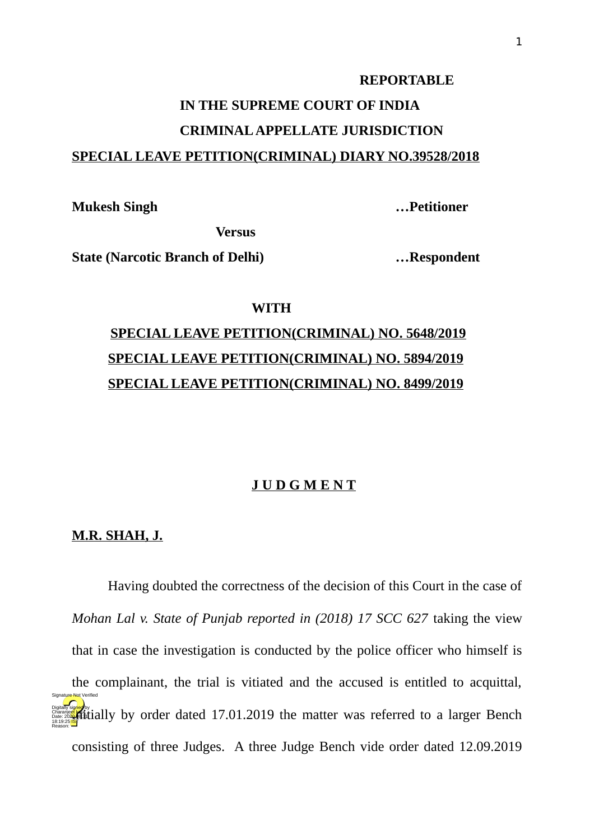#### **REPORTABLE**

# **IN THE SUPREME COURT OF INDIA CRIMINAL APPELLATE JURISDICTION SPECIAL LEAVE PETITION(CRIMINAL) DIARY NO.39528/2018**

**Mukesh Singh …Petitioner**

**Versus**

**State (Narcotic Branch of Delhi) …Respondent**

### **WITH**

## **SPECIAL LEAVE PETITION(CRIMINAL) NO. 5648/2019 SPECIAL LEAVE PETITION(CRIMINAL) NO. 5894/2019 SPECIAL LEAVE PETITION(CRIMINAL) NO. 8499/2019**

### **J U D G M E N T**

### **M.R. SHAH, J.**

Having doubted the correctness of the decision of this Court in the case of *Mohan Lal v. State of Punjab reported in (2018) 17 SCC 627* taking the view that in case the investigation is conducted by the police officer who himself is the complainant, the trial is vitiated and the accused is entitled to acquittal, **Digitally signed by order dated 17.01.2019 the matter was referred to a larger Bench** consisting of three Judges. A three Judge Bench vide order dated 12.09.2019 18:19:25 **IST** Reason: Signature Not Verified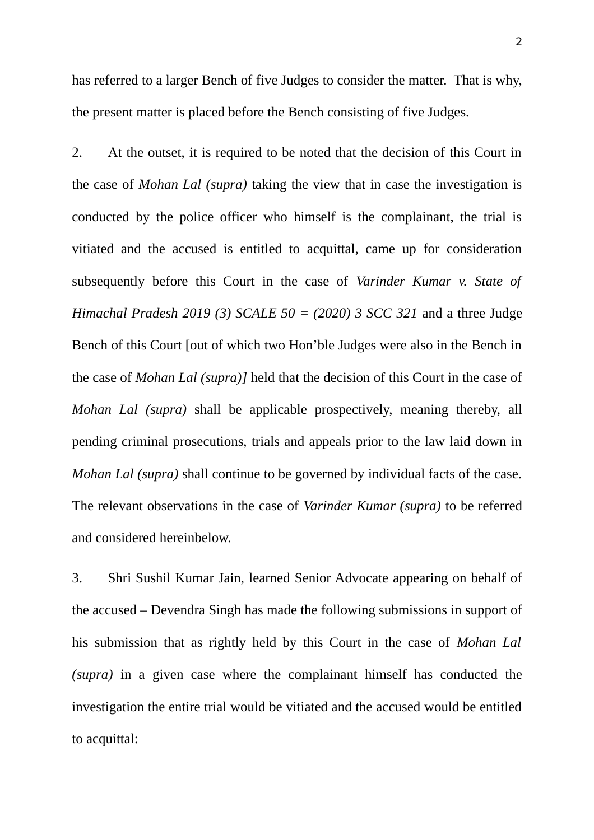has referred to a larger Bench of five Judges to consider the matter. That is why, the present matter is placed before the Bench consisting of five Judges.

2. At the outset, it is required to be noted that the decision of this Court in the case of *Mohan Lal (supra)* taking the view that in case the investigation is conducted by the police officer who himself is the complainant, the trial is vitiated and the accused is entitled to acquittal, came up for consideration subsequently before this Court in the case of *Varinder Kumar v. State of Himachal Pradesh 2019 (3) SCALE 50 = (2020) 3 SCC 321* and a three Judge Bench of this Court [out of which two Hon'ble Judges were also in the Bench in the case of *Mohan Lal (supra)]* held that the decision of this Court in the case of *Mohan Lal (supra)* shall be applicable prospectively, meaning thereby, all pending criminal prosecutions, trials and appeals prior to the law laid down in *Mohan Lal (supra)* shall continue to be governed by individual facts of the case. The relevant observations in the case of *Varinder Kumar (supra)* to be referred and considered hereinbelow.

3. Shri Sushil Kumar Jain, learned Senior Advocate appearing on behalf of the accused – Devendra Singh has made the following submissions in support of his submission that as rightly held by this Court in the case of *Mohan Lal (supra)* in a given case where the complainant himself has conducted the investigation the entire trial would be vitiated and the accused would be entitled to acquittal: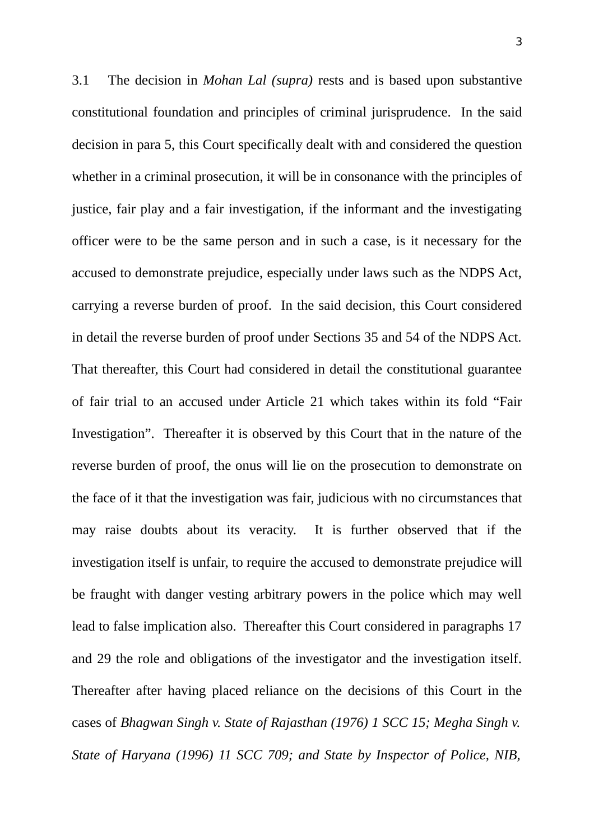3.1 The decision in *Mohan Lal (supra)* rests and is based upon substantive constitutional foundation and principles of criminal jurisprudence. In the said decision in para 5, this Court specifically dealt with and considered the question whether in a criminal prosecution, it will be in consonance with the principles of justice, fair play and a fair investigation, if the informant and the investigating officer were to be the same person and in such a case, is it necessary for the accused to demonstrate prejudice, especially under laws such as the NDPS Act, carrying a reverse burden of proof. In the said decision, this Court considered in detail the reverse burden of proof under Sections 35 and 54 of the NDPS Act. That thereafter, this Court had considered in detail the constitutional guarantee of fair trial to an accused under Article 21 which takes within its fold "Fair Investigation". Thereafter it is observed by this Court that in the nature of the reverse burden of proof, the onus will lie on the prosecution to demonstrate on the face of it that the investigation was fair, judicious with no circumstances that may raise doubts about its veracity. It is further observed that if the investigation itself is unfair, to require the accused to demonstrate prejudice will be fraught with danger vesting arbitrary powers in the police which may well lead to false implication also. Thereafter this Court considered in paragraphs 17 and 29 the role and obligations of the investigator and the investigation itself. Thereafter after having placed reliance on the decisions of this Court in the cases of *Bhagwan Singh v. State of Rajasthan (1976) 1 SCC 15; Megha Singh v. State of Haryana (1996) 11 SCC 709; and State by Inspector of Police, NIB,*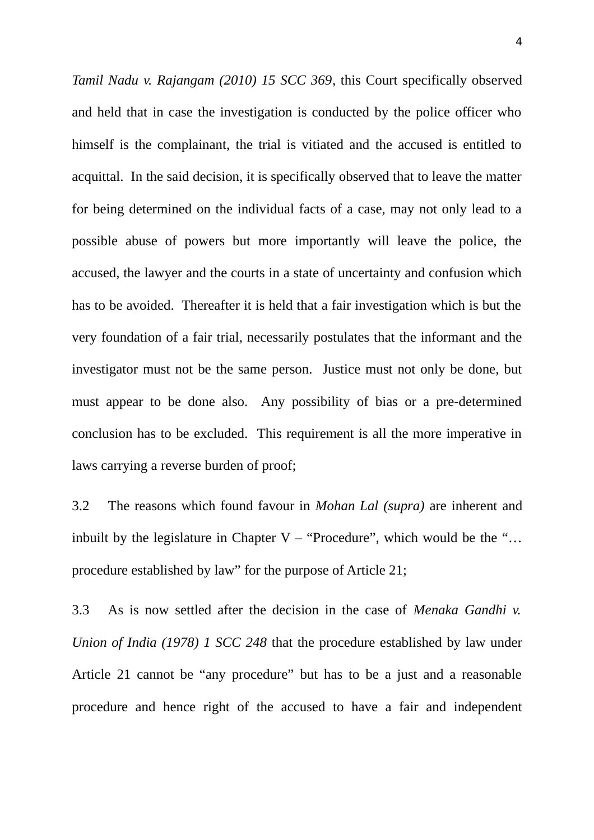*Tamil Nadu v. Rajangam (2010) 15 SCC 369*, this Court specifically observed and held that in case the investigation is conducted by the police officer who himself is the complainant, the trial is vitiated and the accused is entitled to acquittal. In the said decision, it is specifically observed that to leave the matter for being determined on the individual facts of a case, may not only lead to a possible abuse of powers but more importantly will leave the police, the accused, the lawyer and the courts in a state of uncertainty and confusion which has to be avoided. Thereafter it is held that a fair investigation which is but the very foundation of a fair trial, necessarily postulates that the informant and the investigator must not be the same person. Justice must not only be done, but must appear to be done also. Any possibility of bias or a pre-determined conclusion has to be excluded. This requirement is all the more imperative in laws carrying a reverse burden of proof;

3.2 The reasons which found favour in *Mohan Lal (supra)* are inherent and inbuilt by the legislature in Chapter V – "Procedure", which would be the "... procedure established by law" for the purpose of Article 21;

3.3 As is now settled after the decision in the case of *Menaka Gandhi v. Union of India (1978) 1 SCC 248* that the procedure established by law under Article 21 cannot be "any procedure" but has to be a just and a reasonable procedure and hence right of the accused to have a fair and independent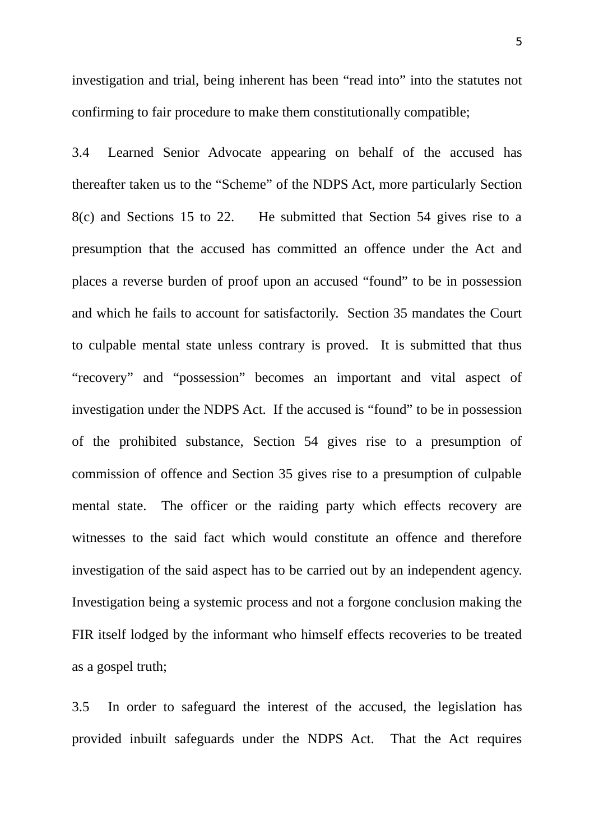investigation and trial, being inherent has been "read into" into the statutes not confirming to fair procedure to make them constitutionally compatible;

3.4 Learned Senior Advocate appearing on behalf of the accused has thereafter taken us to the "Scheme" of the NDPS Act, more particularly Section 8(c) and Sections 15 to 22. He submitted that Section 54 gives rise to a presumption that the accused has committed an offence under the Act and places a reverse burden of proof upon an accused "found" to be in possession and which he fails to account for satisfactorily. Section 35 mandates the Court to culpable mental state unless contrary is proved. It is submitted that thus "recovery" and "possession" becomes an important and vital aspect of investigation under the NDPS Act. If the accused is "found" to be in possession of the prohibited substance, Section 54 gives rise to a presumption of commission of offence and Section 35 gives rise to a presumption of culpable mental state. The officer or the raiding party which effects recovery are witnesses to the said fact which would constitute an offence and therefore investigation of the said aspect has to be carried out by an independent agency. Investigation being a systemic process and not a forgone conclusion making the FIR itself lodged by the informant who himself effects recoveries to be treated as a gospel truth;

3.5 In order to safeguard the interest of the accused, the legislation has provided inbuilt safeguards under the NDPS Act. That the Act requires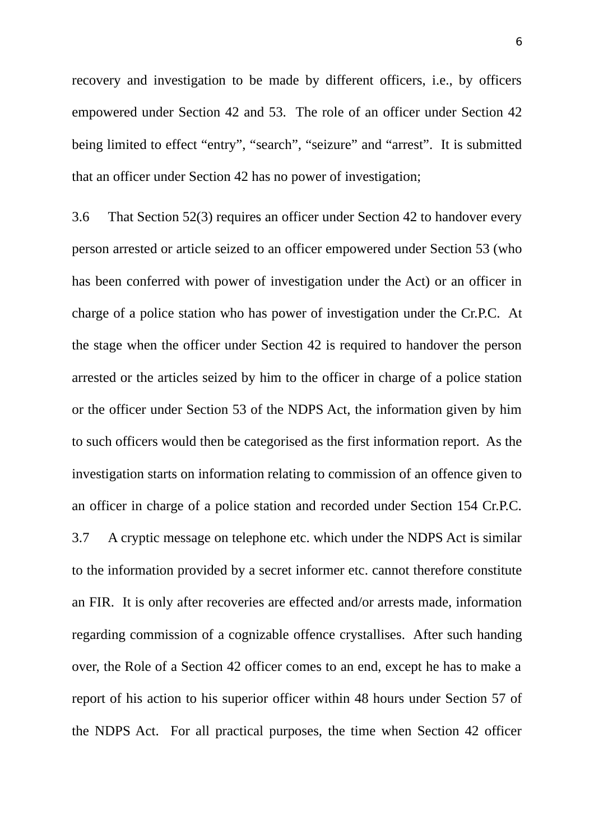recovery and investigation to be made by different officers, i.e., by officers empowered under Section 42 and 53. The role of an officer under Section 42 being limited to effect "entry", "search", "seizure" and "arrest". It is submitted that an officer under Section 42 has no power of investigation;

3.6 That Section 52(3) requires an officer under Section 42 to handover every person arrested or article seized to an officer empowered under Section 53 (who has been conferred with power of investigation under the Act) or an officer in charge of a police station who has power of investigation under the Cr.P.C. At the stage when the officer under Section 42 is required to handover the person arrested or the articles seized by him to the officer in charge of a police station or the officer under Section 53 of the NDPS Act, the information given by him to such officers would then be categorised as the first information report. As the investigation starts on information relating to commission of an offence given to an officer in charge of a police station and recorded under Section 154 Cr.P.C. 3.7 A cryptic message on telephone etc. which under the NDPS Act is similar to the information provided by a secret informer etc. cannot therefore constitute an FIR. It is only after recoveries are effected and/or arrests made, information regarding commission of a cognizable offence crystallises. After such handing over, the Role of a Section 42 officer comes to an end, except he has to make a report of his action to his superior officer within 48 hours under Section 57 of the NDPS Act. For all practical purposes, the time when Section 42 officer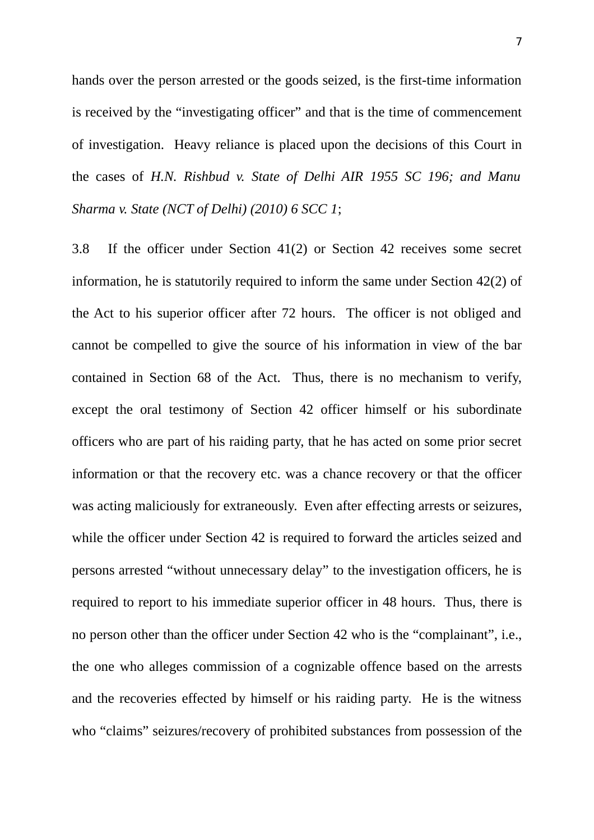hands over the person arrested or the goods seized, is the first-time information is received by the "investigating officer" and that is the time of commencement of investigation. Heavy reliance is placed upon the decisions of this Court in the cases of *H.N. Rishbud v. State of Delhi AIR 1955 SC 196; and Manu Sharma v. State (NCT of Delhi) (2010) 6 SCC 1*;

3.8 If the officer under Section 41(2) or Section 42 receives some secret information, he is statutorily required to inform the same under Section 42(2) of the Act to his superior officer after 72 hours. The officer is not obliged and cannot be compelled to give the source of his information in view of the bar contained in Section 68 of the Act. Thus, there is no mechanism to verify, except the oral testimony of Section 42 officer himself or his subordinate officers who are part of his raiding party, that he has acted on some prior secret information or that the recovery etc. was a chance recovery or that the officer was acting maliciously for extraneously. Even after effecting arrests or seizures, while the officer under Section 42 is required to forward the articles seized and persons arrested "without unnecessary delay" to the investigation officers, he is required to report to his immediate superior officer in 48 hours. Thus, there is no person other than the officer under Section 42 who is the "complainant", i.e., the one who alleges commission of a cognizable offence based on the arrests and the recoveries effected by himself or his raiding party. He is the witness who "claims" seizures/recovery of prohibited substances from possession of the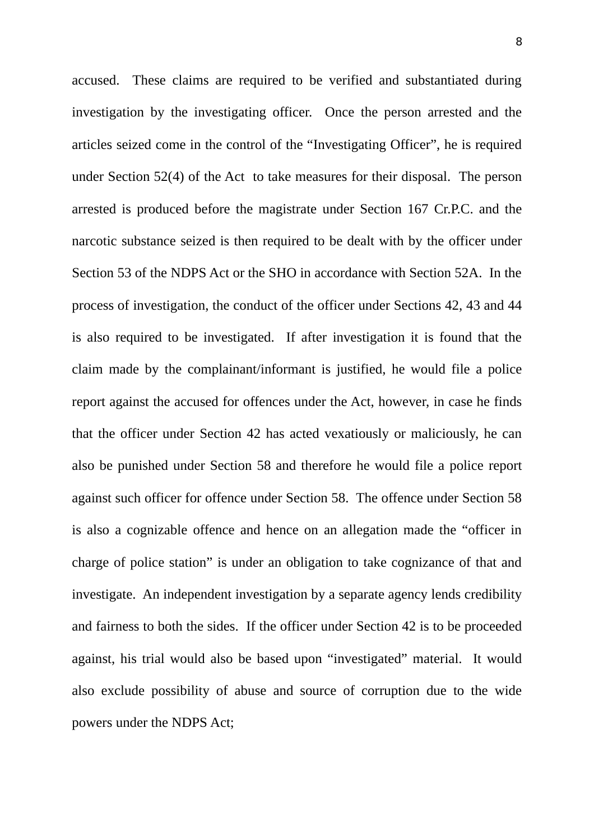accused. These claims are required to be verified and substantiated during investigation by the investigating officer. Once the person arrested and the articles seized come in the control of the "Investigating Officer", he is required under Section 52(4) of the Act to take measures for their disposal. The person arrested is produced before the magistrate under Section 167 Cr.P.C. and the narcotic substance seized is then required to be dealt with by the officer under Section 53 of the NDPS Act or the SHO in accordance with Section 52A. In the process of investigation, the conduct of the officer under Sections 42, 43 and 44 is also required to be investigated. If after investigation it is found that the claim made by the complainant/informant is justified, he would file a police report against the accused for offences under the Act, however, in case he finds that the officer under Section 42 has acted vexatiously or maliciously, he can also be punished under Section 58 and therefore he would file a police report against such officer for offence under Section 58. The offence under Section 58 is also a cognizable offence and hence on an allegation made the "officer in charge of police station" is under an obligation to take cognizance of that and investigate. An independent investigation by a separate agency lends credibility and fairness to both the sides. If the officer under Section 42 is to be proceeded against, his trial would also be based upon "investigated" material. It would also exclude possibility of abuse and source of corruption due to the wide powers under the NDPS Act;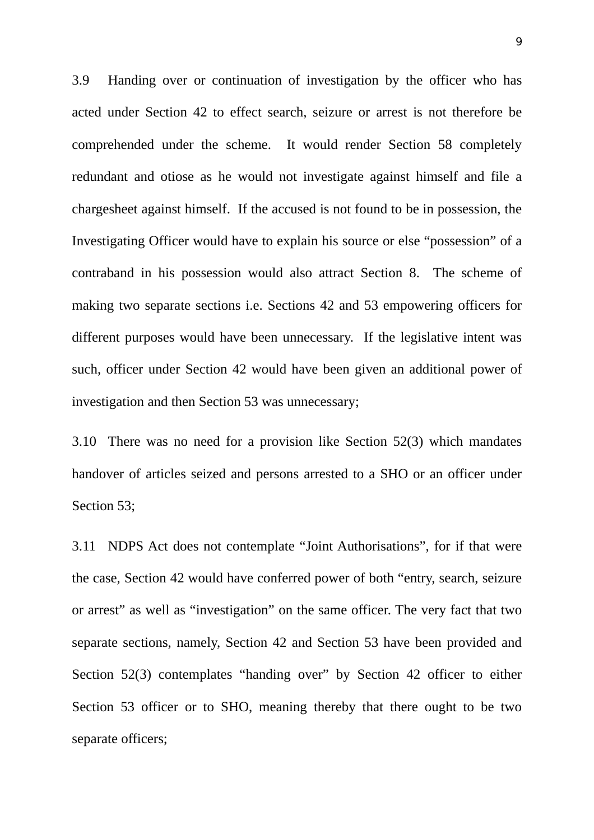3.9 Handing over or continuation of investigation by the officer who has acted under Section 42 to effect search, seizure or arrest is not therefore be comprehended under the scheme. It would render Section 58 completely redundant and otiose as he would not investigate against himself and file a chargesheet against himself. If the accused is not found to be in possession, the Investigating Officer would have to explain his source or else "possession" of a contraband in his possession would also attract Section 8. The scheme of making two separate sections i.e. Sections 42 and 53 empowering officers for different purposes would have been unnecessary. If the legislative intent was such, officer under Section 42 would have been given an additional power of investigation and then Section 53 was unnecessary;

3.10 There was no need for a provision like Section 52(3) which mandates handover of articles seized and persons arrested to a SHO or an officer under Section 53;

3.11 NDPS Act does not contemplate "Joint Authorisations", for if that were the case, Section 42 would have conferred power of both "entry, search, seizure or arrest" as well as "investigation" on the same officer. The very fact that two separate sections, namely, Section 42 and Section 53 have been provided and Section 52(3) contemplates "handing over" by Section 42 officer to either Section 53 officer or to SHO, meaning thereby that there ought to be two separate officers;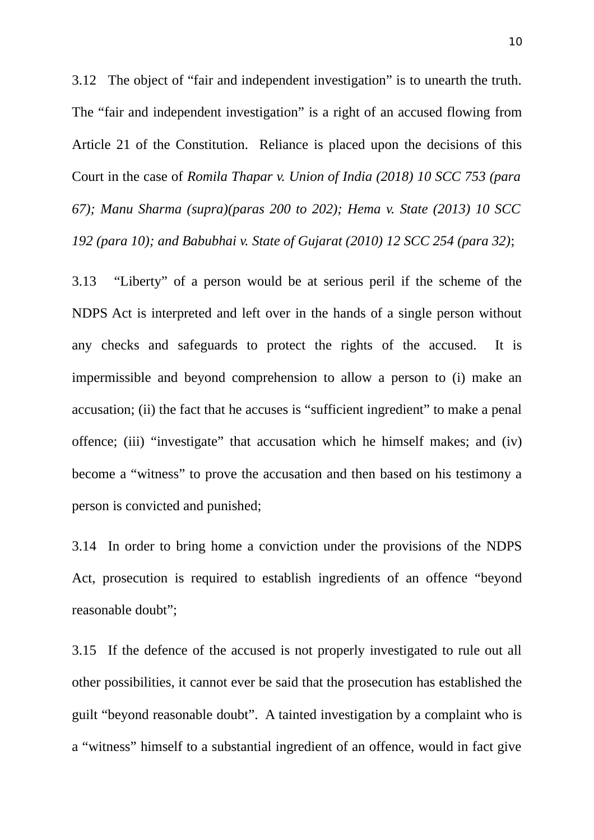3.12 The object of "fair and independent investigation" is to unearth the truth. The "fair and independent investigation" is a right of an accused flowing from Article 21 of the Constitution. Reliance is placed upon the decisions of this Court in the case of *Romila Thapar v. Union of India (2018) 10 SCC 753 (para 67); Manu Sharma (supra)(paras 200 to 202); Hema v. State (2013) 10 SCC 192 (para 10); and Babubhai v. State of Gujarat (2010) 12 SCC 254 (para 32)*;

3.13 "Liberty" of a person would be at serious peril if the scheme of the NDPS Act is interpreted and left over in the hands of a single person without any checks and safeguards to protect the rights of the accused. It is impermissible and beyond comprehension to allow a person to (i) make an accusation; (ii) the fact that he accuses is "sufficient ingredient" to make a penal offence; (iii) "investigate" that accusation which he himself makes; and (iv) become a "witness" to prove the accusation and then based on his testimony a person is convicted and punished;

3.14 In order to bring home a conviction under the provisions of the NDPS Act, prosecution is required to establish ingredients of an offence "beyond reasonable doubt";

3.15 If the defence of the accused is not properly investigated to rule out all other possibilities, it cannot ever be said that the prosecution has established the guilt "beyond reasonable doubt". A tainted investigation by a complaint who is a "witness" himself to a substantial ingredient of an offence, would in fact give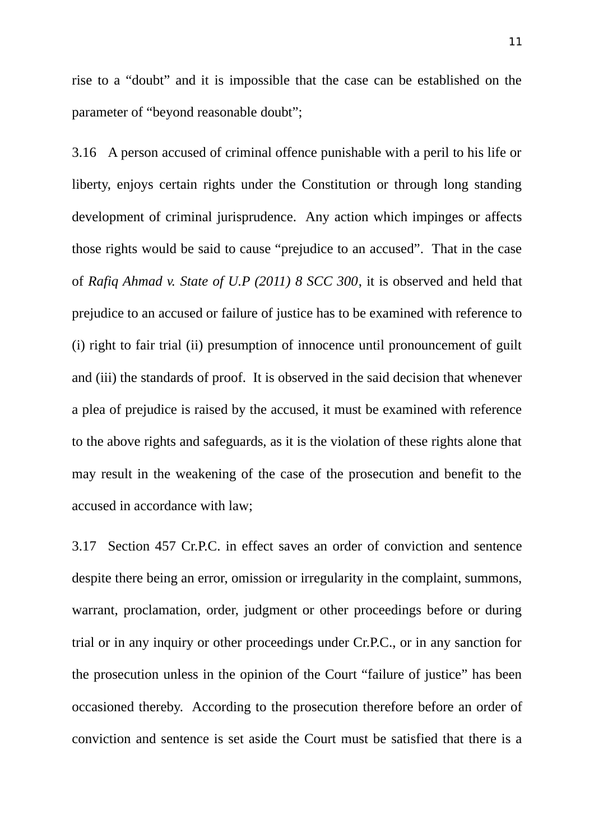rise to a "doubt" and it is impossible that the case can be established on the parameter of "beyond reasonable doubt";

3.16 A person accused of criminal offence punishable with a peril to his life or liberty, enjoys certain rights under the Constitution or through long standing development of criminal jurisprudence. Any action which impinges or affects those rights would be said to cause "prejudice to an accused". That in the case of *Rafiq Ahmad v. State of U.P (2011) 8 SCC 300*, it is observed and held that prejudice to an accused or failure of justice has to be examined with reference to (i) right to fair trial (ii) presumption of innocence until pronouncement of guilt and (iii) the standards of proof. It is observed in the said decision that whenever a plea of prejudice is raised by the accused, it must be examined with reference to the above rights and safeguards, as it is the violation of these rights alone that may result in the weakening of the case of the prosecution and benefit to the accused in accordance with law;

3.17 Section 457 Cr.P.C. in effect saves an order of conviction and sentence despite there being an error, omission or irregularity in the complaint, summons, warrant, proclamation, order, judgment or other proceedings before or during trial or in any inquiry or other proceedings under Cr.P.C., or in any sanction for the prosecution unless in the opinion of the Court "failure of justice" has been occasioned thereby. According to the prosecution therefore before an order of conviction and sentence is set aside the Court must be satisfied that there is a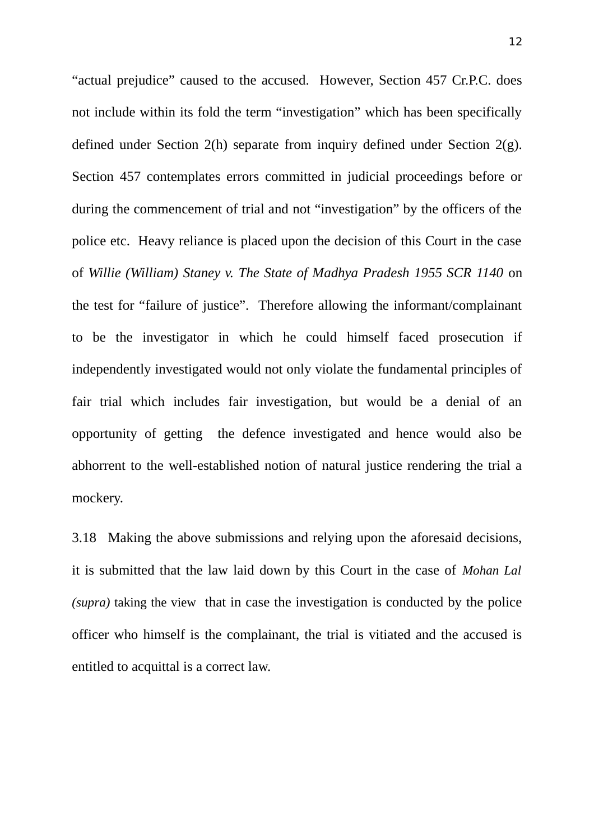"actual prejudice" caused to the accused. However, Section 457 Cr.P.C. does not include within its fold the term "investigation" which has been specifically defined under Section 2(h) separate from inquiry defined under Section 2(g). Section 457 contemplates errors committed in judicial proceedings before or during the commencement of trial and not "investigation" by the officers of the police etc. Heavy reliance is placed upon the decision of this Court in the case of *Willie (William) Staney v. The State of Madhya Pradesh 1955 SCR 1140* on the test for "failure of justice". Therefore allowing the informant/complainant to be the investigator in which he could himself faced prosecution if independently investigated would not only violate the fundamental principles of fair trial which includes fair investigation, but would be a denial of an opportunity of getting the defence investigated and hence would also be abhorrent to the well-established notion of natural justice rendering the trial a mockery.

3.18 Making the above submissions and relying upon the aforesaid decisions, it is submitted that the law laid down by this Court in the case of *Mohan Lal (supra)* taking the view that in case the investigation is conducted by the police officer who himself is the complainant, the trial is vitiated and the accused is entitled to acquittal is a correct law.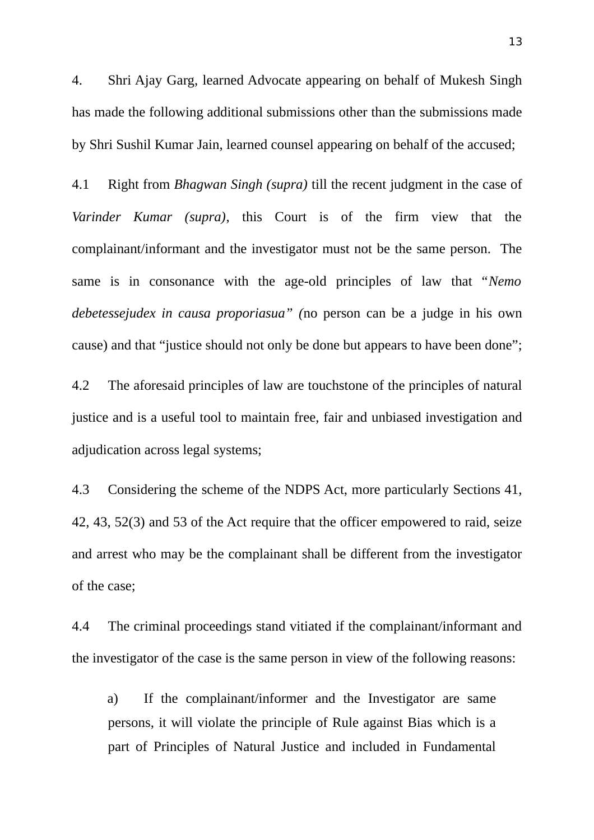4. Shri Ajay Garg, learned Advocate appearing on behalf of Mukesh Singh has made the following additional submissions other than the submissions made by Shri Sushil Kumar Jain, learned counsel appearing on behalf of the accused;

4.1 Right from *Bhagwan Singh (supra)* till the recent judgment in the case of *Varinder Kumar (supra)*, this Court is of the firm view that the complainant/informant and the investigator must not be the same person. The same is in consonance with the age-old principles of law that "*Nemo debetessejudex in causa proporiasua" (*no person can be a judge in his own cause) and that "justice should not only be done but appears to have been done";

4.2 The aforesaid principles of law are touchstone of the principles of natural justice and is a useful tool to maintain free, fair and unbiased investigation and adjudication across legal systems;

4.3 Considering the scheme of the NDPS Act, more particularly Sections 41, 42, 43, 52(3) and 53 of the Act require that the officer empowered to raid, seize and arrest who may be the complainant shall be different from the investigator of the case;

4.4 The criminal proceedings stand vitiated if the complainant/informant and the investigator of the case is the same person in view of the following reasons:

a) If the complainant/informer and the Investigator are same persons, it will violate the principle of Rule against Bias which is a part of Principles of Natural Justice and included in Fundamental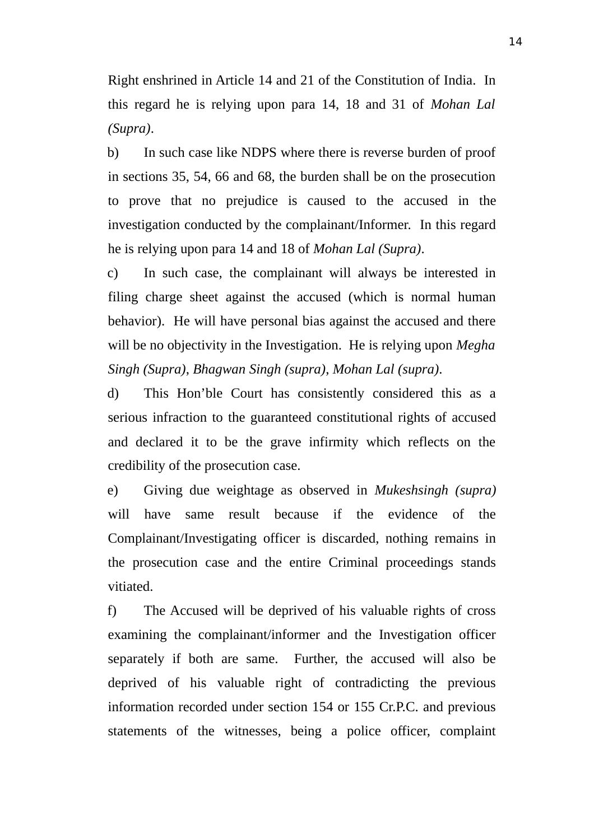Right enshrined in Article 14 and 21 of the Constitution of India. In this regard he is relying upon para 14, 18 and 31 of *Mohan Lal (Supra)*.

b) In such case like NDPS where there is reverse burden of proof in sections 35, 54, 66 and 68, the burden shall be on the prosecution to prove that no prejudice is caused to the accused in the investigation conducted by the complainant/Informer. In this regard he is relying upon para 14 and 18 of *Mohan Lal (Supra)*.

c) In such case, the complainant will always be interested in filing charge sheet against the accused (which is normal human behavior). He will have personal bias against the accused and there will be no objectivity in the Investigation. He is relying upon *Megha Singh (Supra)*, *Bhagwan Singh (supra)*, *Mohan Lal (supra)*.

d) This Hon'ble Court has consistently considered this as a serious infraction to the guaranteed constitutional rights of accused and declared it to be the grave infirmity which reflects on the credibility of the prosecution case.

e) Giving due weightage as observed in *Mukeshsingh (supra)* will have same result because if the evidence of the Complainant/Investigating officer is discarded, nothing remains in the prosecution case and the entire Criminal proceedings stands vitiated.

f) The Accused will be deprived of his valuable rights of cross examining the complainant/informer and the Investigation officer separately if both are same. Further, the accused will also be deprived of his valuable right of contradicting the previous information recorded under section 154 or 155 Cr.P.C. and previous statements of the witnesses, being a police officer, complaint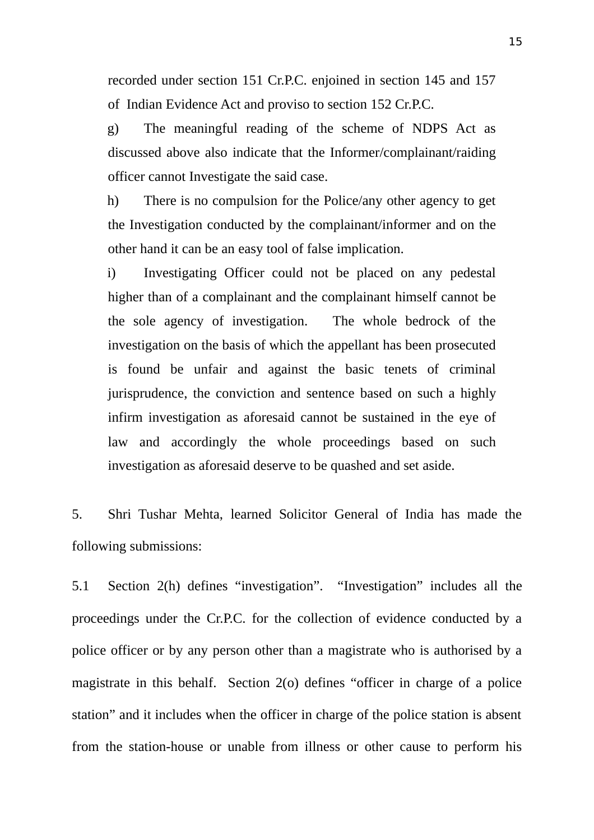recorded under section 151 Cr.P.C. enjoined in section 145 and 157 of Indian Evidence Act and proviso to section 152 Cr.P.C.

g) The meaningful reading of the scheme of NDPS Act as discussed above also indicate that the Informer/complainant/raiding officer cannot Investigate the said case.

h) There is no compulsion for the Police/any other agency to get the Investigation conducted by the complainant/informer and on the other hand it can be an easy tool of false implication.

i) Investigating Officer could not be placed on any pedestal higher than of a complainant and the complainant himself cannot be the sole agency of investigation. The whole bedrock of the investigation on the basis of which the appellant has been prosecuted is found be unfair and against the basic tenets of criminal jurisprudence, the conviction and sentence based on such a highly infirm investigation as aforesaid cannot be sustained in the eye of law and accordingly the whole proceedings based on such investigation as aforesaid deserve to be quashed and set aside.

5. Shri Tushar Mehta, learned Solicitor General of India has made the following submissions:

5.1 Section 2(h) defines "investigation". "Investigation" includes all the proceedings under the Cr.P.C. for the collection of evidence conducted by a police officer or by any person other than a magistrate who is authorised by a magistrate in this behalf. Section 2(o) defines "officer in charge of a police station" and it includes when the officer in charge of the police station is absent from the station-house or unable from illness or other cause to perform his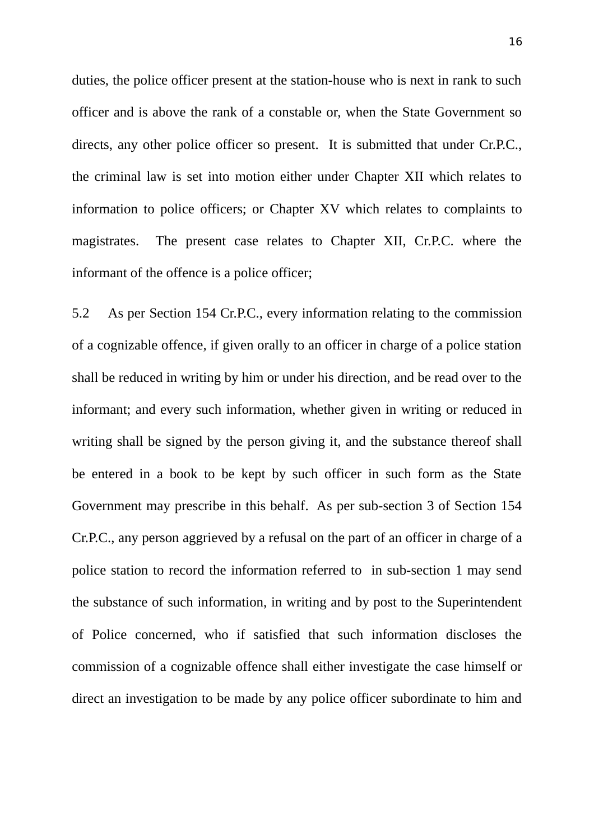duties, the police officer present at the station-house who is next in rank to such officer and is above the rank of a constable or, when the State Government so directs, any other police officer so present. It is submitted that under Cr.P.C., the criminal law is set into motion either under Chapter XII which relates to information to police officers; or Chapter XV which relates to complaints to magistrates. The present case relates to Chapter XII, Cr.P.C. where the informant of the offence is a police officer;

5.2 As per Section 154 Cr.P.C., every information relating to the commission of a cognizable offence, if given orally to an officer in charge of a police station shall be reduced in writing by him or under his direction, and be read over to the informant; and every such information, whether given in writing or reduced in writing shall be signed by the person giving it, and the substance thereof shall be entered in a book to be kept by such officer in such form as the State Government may prescribe in this behalf. As per sub-section 3 of Section 154 Cr.P.C., any person aggrieved by a refusal on the part of an officer in charge of a police station to record the information referred to in sub-section 1 may send the substance of such information, in writing and by post to the Superintendent of Police concerned, who if satisfied that such information discloses the commission of a cognizable offence shall either investigate the case himself or direct an investigation to be made by any police officer subordinate to him and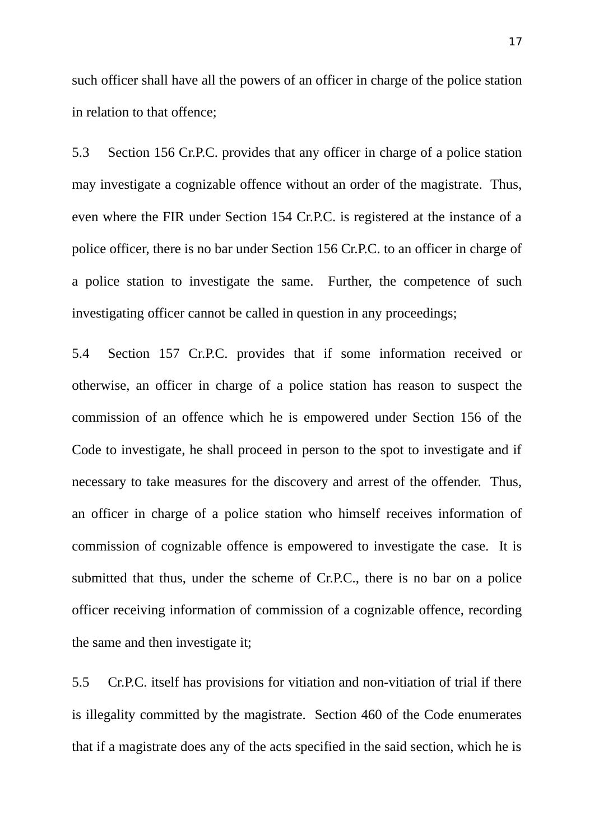such officer shall have all the powers of an officer in charge of the police station in relation to that offence;

5.3 Section 156 Cr.P.C. provides that any officer in charge of a police station may investigate a cognizable offence without an order of the magistrate. Thus, even where the FIR under Section 154 Cr.P.C. is registered at the instance of a police officer, there is no bar under Section 156 Cr.P.C. to an officer in charge of a police station to investigate the same. Further, the competence of such investigating officer cannot be called in question in any proceedings;

5.4 Section 157 Cr.P.C. provides that if some information received or otherwise, an officer in charge of a police station has reason to suspect the commission of an offence which he is empowered under Section 156 of the Code to investigate, he shall proceed in person to the spot to investigate and if necessary to take measures for the discovery and arrest of the offender. Thus, an officer in charge of a police station who himself receives information of commission of cognizable offence is empowered to investigate the case. It is submitted that thus, under the scheme of Cr.P.C., there is no bar on a police officer receiving information of commission of a cognizable offence, recording the same and then investigate it;

5.5 Cr.P.C. itself has provisions for vitiation and non-vitiation of trial if there is illegality committed by the magistrate. Section 460 of the Code enumerates that if a magistrate does any of the acts specified in the said section, which he is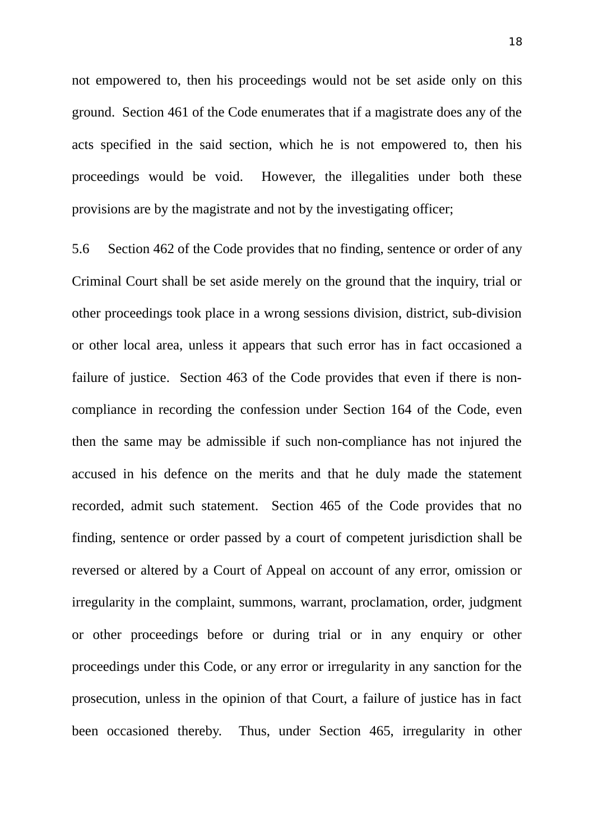not empowered to, then his proceedings would not be set aside only on this ground. Section 461 of the Code enumerates that if a magistrate does any of the acts specified in the said section, which he is not empowered to, then his proceedings would be void. However, the illegalities under both these provisions are by the magistrate and not by the investigating officer;

5.6 Section 462 of the Code provides that no finding, sentence or order of any Criminal Court shall be set aside merely on the ground that the inquiry, trial or other proceedings took place in a wrong sessions division, district, sub-division or other local area, unless it appears that such error has in fact occasioned a failure of justice. Section 463 of the Code provides that even if there is noncompliance in recording the confession under Section 164 of the Code, even then the same may be admissible if such non-compliance has not injured the accused in his defence on the merits and that he duly made the statement recorded, admit such statement. Section 465 of the Code provides that no finding, sentence or order passed by a court of competent jurisdiction shall be reversed or altered by a Court of Appeal on account of any error, omission or irregularity in the complaint, summons, warrant, proclamation, order, judgment or other proceedings before or during trial or in any enquiry or other proceedings under this Code, or any error or irregularity in any sanction for the prosecution, unless in the opinion of that Court, a failure of justice has in fact been occasioned thereby. Thus, under Section 465, irregularity in other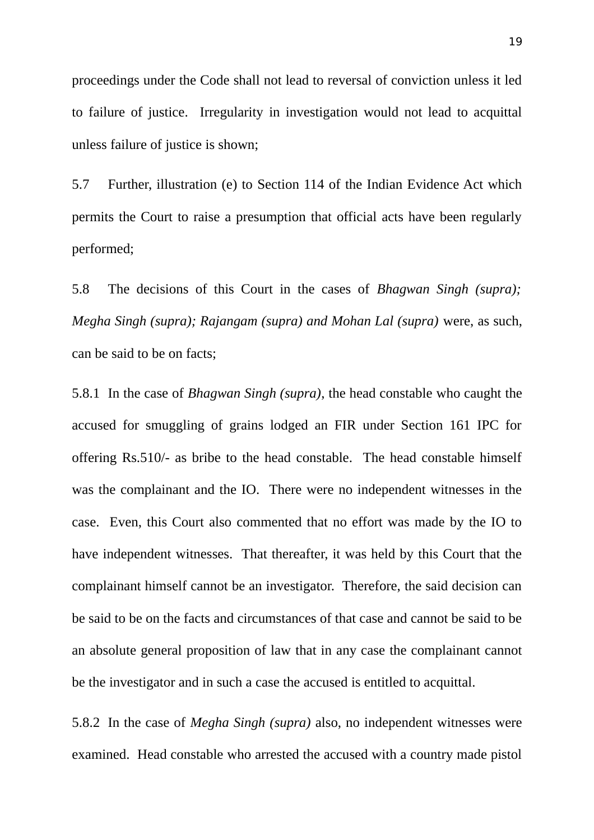proceedings under the Code shall not lead to reversal of conviction unless it led to failure of justice. Irregularity in investigation would not lead to acquittal unless failure of justice is shown;

5.7 Further, illustration (e) to Section 114 of the Indian Evidence Act which permits the Court to raise a presumption that official acts have been regularly performed;

5.8 The decisions of this Court in the cases of *Bhagwan Singh (supra); Megha Singh (supra); Rajangam (supra) and Mohan Lal (supra)* were, as such, can be said to be on facts;

5.8.1 In the case of *Bhagwan Singh (supra)*, the head constable who caught the accused for smuggling of grains lodged an FIR under Section 161 IPC for offering Rs.510/- as bribe to the head constable. The head constable himself was the complainant and the IO. There were no independent witnesses in the case. Even, this Court also commented that no effort was made by the IO to have independent witnesses. That thereafter, it was held by this Court that the complainant himself cannot be an investigator. Therefore, the said decision can be said to be on the facts and circumstances of that case and cannot be said to be an absolute general proposition of law that in any case the complainant cannot be the investigator and in such a case the accused is entitled to acquittal.

5.8.2 In the case of *Megha Singh (supra)* also, no independent witnesses were examined. Head constable who arrested the accused with a country made pistol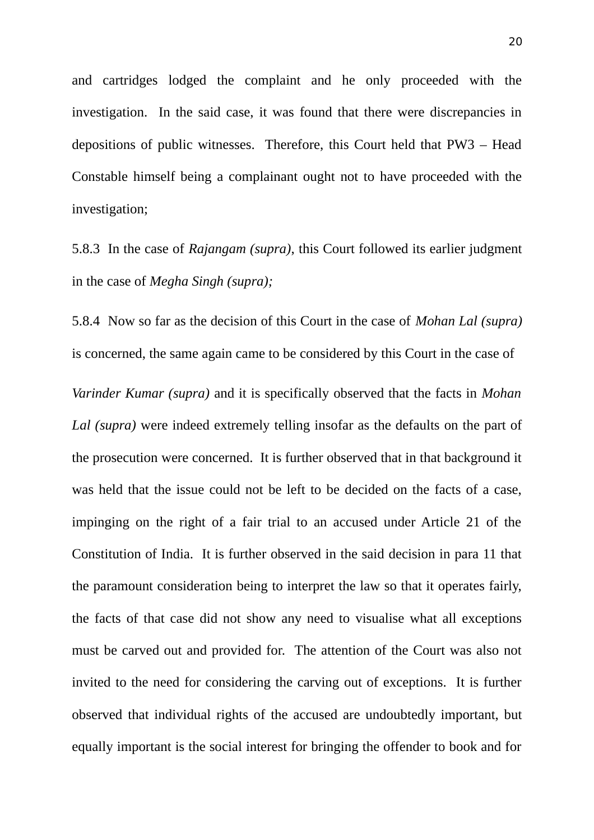and cartridges lodged the complaint and he only proceeded with the investigation. In the said case, it was found that there were discrepancies in depositions of public witnesses. Therefore, this Court held that PW3 – Head Constable himself being a complainant ought not to have proceeded with the investigation;

5.8.3 In the case of *Rajangam (supra)*, this Court followed its earlier judgment in the case of *Megha Singh (supra);*

5.8.4 Now so far as the decision of this Court in the case of *Mohan Lal (supra)* is concerned, the same again came to be considered by this Court in the case of

*Varinder Kumar (supra)* and it is specifically observed that the facts in *Mohan Lal (supra)* were indeed extremely telling insofar as the defaults on the part of the prosecution were concerned. It is further observed that in that background it was held that the issue could not be left to be decided on the facts of a case, impinging on the right of a fair trial to an accused under Article 21 of the Constitution of India. It is further observed in the said decision in para 11 that the paramount consideration being to interpret the law so that it operates fairly, the facts of that case did not show any need to visualise what all exceptions must be carved out and provided for. The attention of the Court was also not invited to the need for considering the carving out of exceptions. It is further observed that individual rights of the accused are undoubtedly important, but equally important is the social interest for bringing the offender to book and for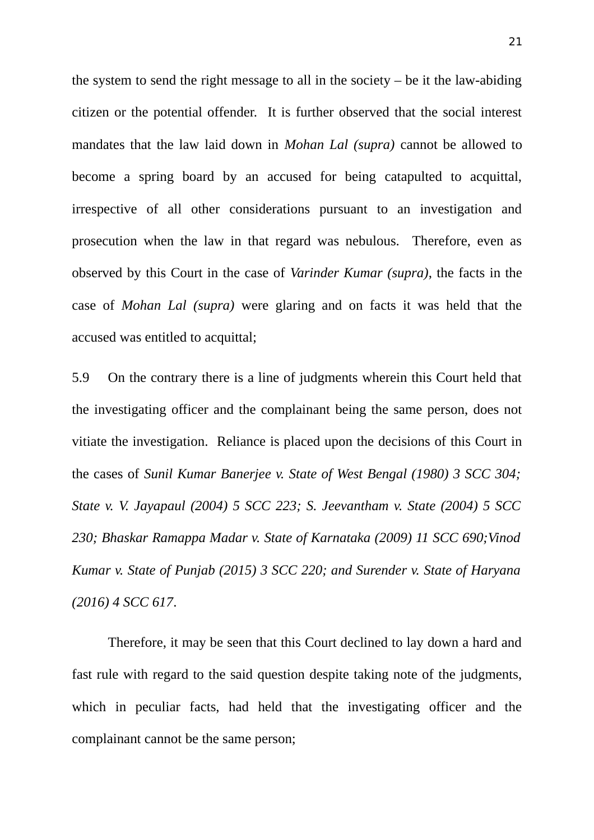the system to send the right message to all in the society  $-$  be it the law-abiding citizen or the potential offender. It is further observed that the social interest mandates that the law laid down in *Mohan Lal (supra)* cannot be allowed to become a spring board by an accused for being catapulted to acquittal, irrespective of all other considerations pursuant to an investigation and prosecution when the law in that regard was nebulous. Therefore, even as observed by this Court in the case of *Varinder Kumar (supra)*, the facts in the case of *Mohan Lal (supra)* were glaring and on facts it was held that the accused was entitled to acquittal;

5.9 On the contrary there is a line of judgments wherein this Court held that the investigating officer and the complainant being the same person, does not vitiate the investigation. Reliance is placed upon the decisions of this Court in the cases of *Sunil Kumar Banerjee v. State of West Bengal (1980) 3 SCC 304; State v. V. Jayapaul (2004) 5 SCC 223; S. Jeevantham v. State (2004) 5 SCC 230; Bhaskar Ramappa Madar v. State of Karnataka (2009) 11 SCC 690;Vinod Kumar v. State of Punjab (2015) 3 SCC 220; and Surender v. State of Haryana (2016) 4 SCC 617*.

Therefore, it may be seen that this Court declined to lay down a hard and fast rule with regard to the said question despite taking note of the judgments, which in peculiar facts, had held that the investigating officer and the complainant cannot be the same person;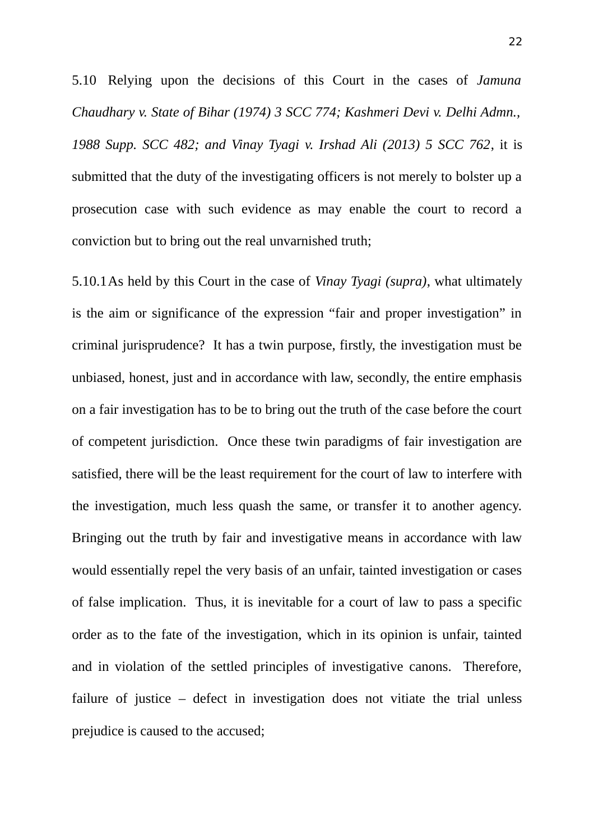5.10 Relying upon the decisions of this Court in the cases of *Jamuna Chaudhary v. State of Bihar (1974) 3 SCC 774; Kashmeri Devi v. Delhi Admn., 1988 Supp. SCC 482; and Vinay Tyagi v. Irshad Ali (2013) 5 SCC 762*, it is submitted that the duty of the investigating officers is not merely to bolster up a prosecution case with such evidence as may enable the court to record a conviction but to bring out the real unvarnished truth;

5.10.1As held by this Court in the case of *Vinay Tyagi (supra)*, what ultimately is the aim or significance of the expression "fair and proper investigation" in criminal jurisprudence? It has a twin purpose, firstly, the investigation must be unbiased, honest, just and in accordance with law, secondly, the entire emphasis on a fair investigation has to be to bring out the truth of the case before the court of competent jurisdiction. Once these twin paradigms of fair investigation are satisfied, there will be the least requirement for the court of law to interfere with the investigation, much less quash the same, or transfer it to another agency. Bringing out the truth by fair and investigative means in accordance with law would essentially repel the very basis of an unfair, tainted investigation or cases of false implication. Thus, it is inevitable for a court of law to pass a specific order as to the fate of the investigation, which in its opinion is unfair, tainted and in violation of the settled principles of investigative canons. Therefore, failure of justice – defect in investigation does not vitiate the trial unless prejudice is caused to the accused;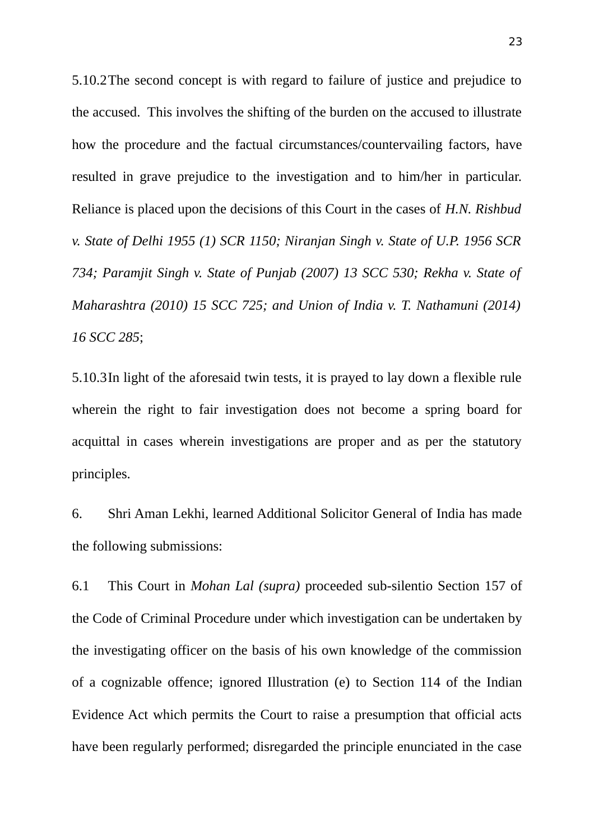5.10.2The second concept is with regard to failure of justice and prejudice to the accused. This involves the shifting of the burden on the accused to illustrate how the procedure and the factual circumstances/countervailing factors, have resulted in grave prejudice to the investigation and to him/her in particular. Reliance is placed upon the decisions of this Court in the cases of *H.N. Rishbud v. State of Delhi 1955 (1) SCR 1150; Niranjan Singh v. State of U.P. 1956 SCR 734; Paramjit Singh v. State of Punjab (2007) 13 SCC 530; Rekha v. State of Maharashtra (2010) 15 SCC 725; and Union of India v. T. Nathamuni (2014) 16 SCC 285*;

5.10.3In light of the aforesaid twin tests, it is prayed to lay down a flexible rule wherein the right to fair investigation does not become a spring board for acquittal in cases wherein investigations are proper and as per the statutory principles.

6. Shri Aman Lekhi, learned Additional Solicitor General of India has made the following submissions:

6.1 This Court in *Mohan Lal (supra)* proceeded sub-silentio Section 157 of the Code of Criminal Procedure under which investigation can be undertaken by the investigating officer on the basis of his own knowledge of the commission of a cognizable offence; ignored Illustration (e) to Section 114 of the Indian Evidence Act which permits the Court to raise a presumption that official acts have been regularly performed; disregarded the principle enunciated in the case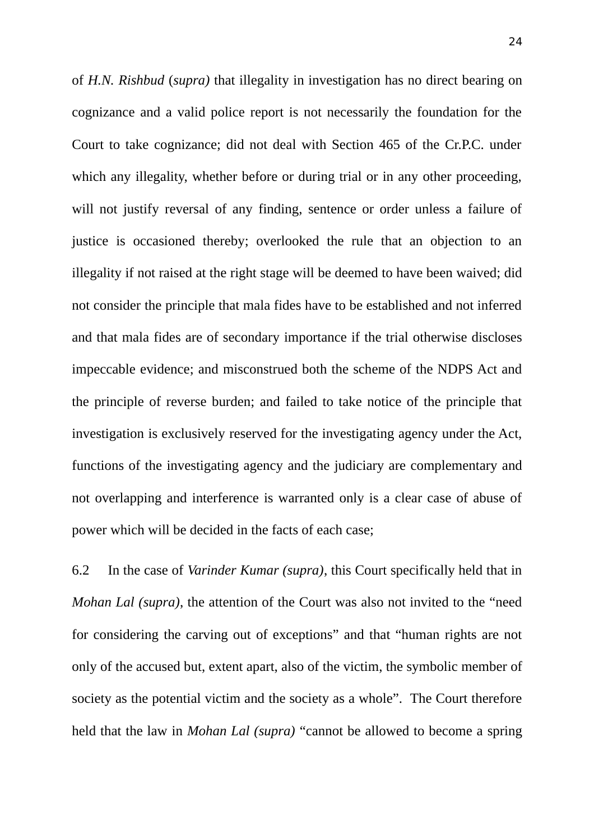of *H.N. Rishbud* (*supra)* that illegality in investigation has no direct bearing on cognizance and a valid police report is not necessarily the foundation for the Court to take cognizance; did not deal with Section 465 of the Cr.P.C. under which any illegality, whether before or during trial or in any other proceeding, will not justify reversal of any finding, sentence or order unless a failure of justice is occasioned thereby; overlooked the rule that an objection to an illegality if not raised at the right stage will be deemed to have been waived; did not consider the principle that mala fides have to be established and not inferred and that mala fides are of secondary importance if the trial otherwise discloses impeccable evidence; and misconstrued both the scheme of the NDPS Act and the principle of reverse burden; and failed to take notice of the principle that investigation is exclusively reserved for the investigating agency under the Act, functions of the investigating agency and the judiciary are complementary and not overlapping and interference is warranted only is a clear case of abuse of power which will be decided in the facts of each case;

6.2 In the case of *Varinder Kumar (supra)*, this Court specifically held that in *Mohan Lal (supra)*, the attention of the Court was also not invited to the "need for considering the carving out of exceptions" and that "human rights are not only of the accused but, extent apart, also of the victim, the symbolic member of society as the potential victim and the society as a whole". The Court therefore held that the law in *Mohan Lal (supra)* "cannot be allowed to become a spring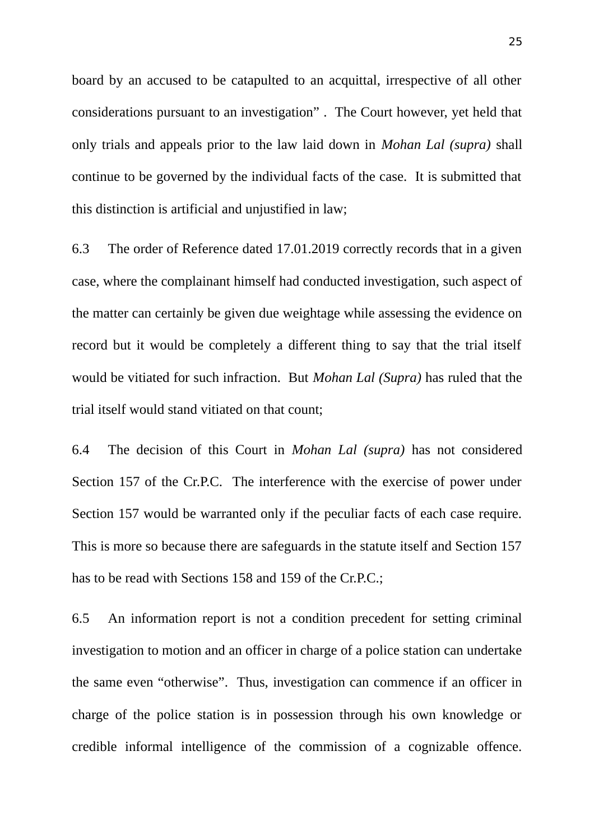board by an accused to be catapulted to an acquittal, irrespective of all other considerations pursuant to an investigation" . The Court however, yet held that only trials and appeals prior to the law laid down in *Mohan Lal (supra)* shall continue to be governed by the individual facts of the case. It is submitted that this distinction is artificial and unjustified in law;

6.3 The order of Reference dated 17.01.2019 correctly records that in a given case, where the complainant himself had conducted investigation, such aspect of the matter can certainly be given due weightage while assessing the evidence on record but it would be completely a different thing to say that the trial itself would be vitiated for such infraction. But *Mohan Lal (Supra)* has ruled that the trial itself would stand vitiated on that count;

6.4 The decision of this Court in *Mohan Lal (supra)* has not considered Section 157 of the Cr.P.C. The interference with the exercise of power under Section 157 would be warranted only if the peculiar facts of each case require. This is more so because there are safeguards in the statute itself and Section 157 has to be read with Sections 158 and 159 of the Cr.P.C.;

6.5 An information report is not a condition precedent for setting criminal investigation to motion and an officer in charge of a police station can undertake the same even "otherwise". Thus, investigation can commence if an officer in charge of the police station is in possession through his own knowledge or credible informal intelligence of the commission of a cognizable offence.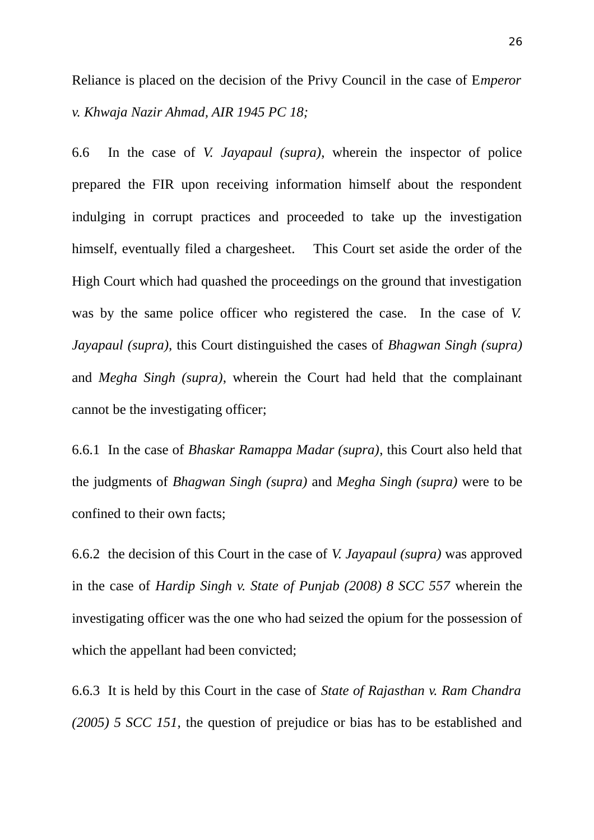Reliance is placed on the decision of the Privy Council in the case of E*mperor v. Khwaja Nazir Ahmad, AIR 1945 PC 18;*

6.6 In the case of *V. Jayapaul (supra)*, wherein the inspector of police prepared the FIR upon receiving information himself about the respondent indulging in corrupt practices and proceeded to take up the investigation himself, eventually filed a chargesheet. This Court set aside the order of the High Court which had quashed the proceedings on the ground that investigation was by the same police officer who registered the case. In the case of *V. Jayapaul (supra),* this Court distinguished the cases of *Bhagwan Singh (supra)* and *Megha Singh (supra)*, wherein the Court had held that the complainant cannot be the investigating officer;

6.6.1 In the case of *Bhaskar Ramappa Madar (supra)*, this Court also held that the judgments of *Bhagwan Singh (supra)* and *Megha Singh (supra)* were to be confined to their own facts;

6.6.2 the decision of this Court in the case of *V. Jayapaul (supra)* was approved in the case of *Hardip Singh v. State of Punjab (2008) 8 SCC 557* wherein the investigating officer was the one who had seized the opium for the possession of which the appellant had been convicted;

6.6.3 It is held by this Court in the case of *State of Rajasthan v. Ram Chandra (2005) 5 SCC 151,* the question of prejudice or bias has to be established and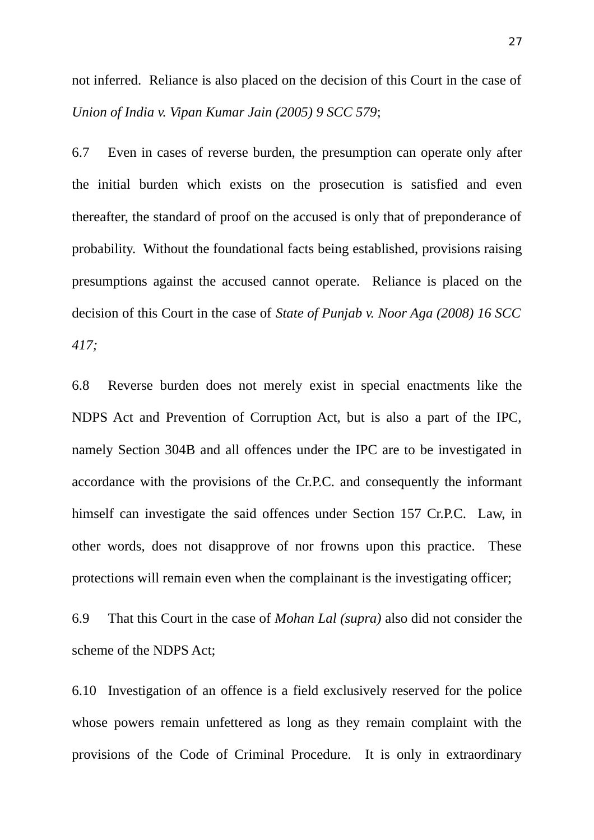not inferred. Reliance is also placed on the decision of this Court in the case of *Union of India v. Vipan Kumar Jain (2005) 9 SCC 579*;

6.7 Even in cases of reverse burden, the presumption can operate only after the initial burden which exists on the prosecution is satisfied and even thereafter, the standard of proof on the accused is only that of preponderance of probability. Without the foundational facts being established, provisions raising presumptions against the accused cannot operate. Reliance is placed on the decision of this Court in the case of *State of Punjab v. Noor Aga (2008) 16 SCC 417;*

6.8 Reverse burden does not merely exist in special enactments like the NDPS Act and Prevention of Corruption Act, but is also a part of the IPC, namely Section 304B and all offences under the IPC are to be investigated in accordance with the provisions of the Cr.P.C. and consequently the informant himself can investigate the said offences under Section 157 Cr.P.C. Law, in other words, does not disapprove of nor frowns upon this practice. These protections will remain even when the complainant is the investigating officer;

6.9 That this Court in the case of *Mohan Lal (supra)* also did not consider the scheme of the NDPS Act;

6.10 Investigation of an offence is a field exclusively reserved for the police whose powers remain unfettered as long as they remain complaint with the provisions of the Code of Criminal Procedure. It is only in extraordinary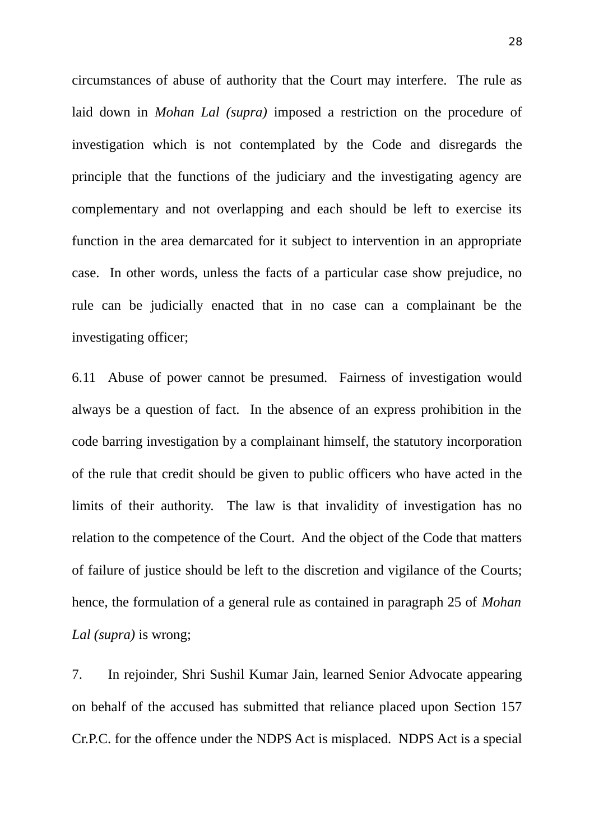circumstances of abuse of authority that the Court may interfere. The rule as laid down in *Mohan Lal (supra)* imposed a restriction on the procedure of investigation which is not contemplated by the Code and disregards the principle that the functions of the judiciary and the investigating agency are complementary and not overlapping and each should be left to exercise its function in the area demarcated for it subject to intervention in an appropriate case. In other words, unless the facts of a particular case show prejudice, no rule can be judicially enacted that in no case can a complainant be the investigating officer;

6.11 Abuse of power cannot be presumed. Fairness of investigation would always be a question of fact. In the absence of an express prohibition in the code barring investigation by a complainant himself, the statutory incorporation of the rule that credit should be given to public officers who have acted in the limits of their authority. The law is that invalidity of investigation has no relation to the competence of the Court. And the object of the Code that matters of failure of justice should be left to the discretion and vigilance of the Courts; hence, the formulation of a general rule as contained in paragraph 25 of *Mohan Lal (supra)* is wrong;

7. In rejoinder, Shri Sushil Kumar Jain, learned Senior Advocate appearing on behalf of the accused has submitted that reliance placed upon Section 157 Cr.P.C. for the offence under the NDPS Act is misplaced. NDPS Act is a special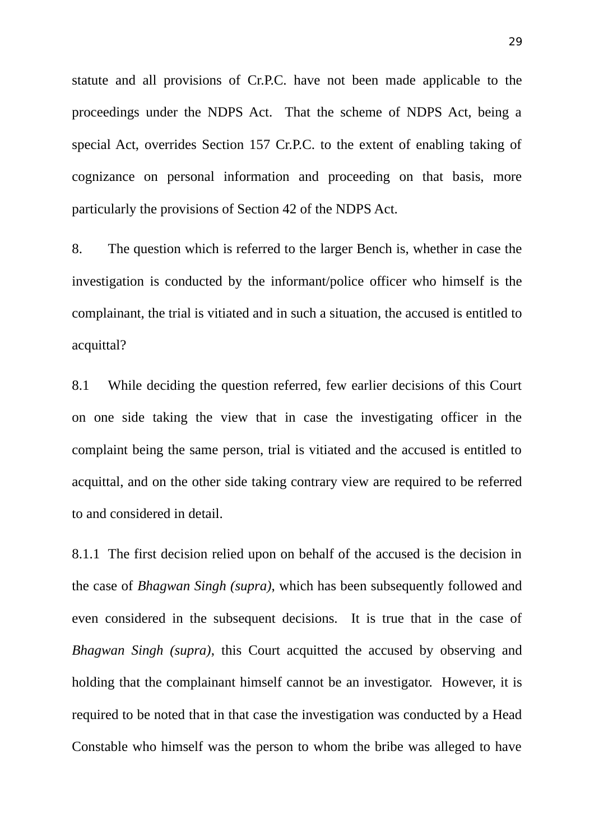statute and all provisions of Cr.P.C. have not been made applicable to the proceedings under the NDPS Act. That the scheme of NDPS Act, being a special Act, overrides Section 157 Cr.P.C. to the extent of enabling taking of cognizance on personal information and proceeding on that basis, more particularly the provisions of Section 42 of the NDPS Act.

8. The question which is referred to the larger Bench is, whether in case the investigation is conducted by the informant/police officer who himself is the complainant, the trial is vitiated and in such a situation, the accused is entitled to acquittal?

8.1 While deciding the question referred, few earlier decisions of this Court on one side taking the view that in case the investigating officer in the complaint being the same person, trial is vitiated and the accused is entitled to acquittal, and on the other side taking contrary view are required to be referred to and considered in detail.

8.1.1 The first decision relied upon on behalf of the accused is the decision in the case of *Bhagwan Singh (supra)*, which has been subsequently followed and even considered in the subsequent decisions. It is true that in the case of *Bhagwan Singh (supra)*, this Court acquitted the accused by observing and holding that the complainant himself cannot be an investigator. However, it is required to be noted that in that case the investigation was conducted by a Head Constable who himself was the person to whom the bribe was alleged to have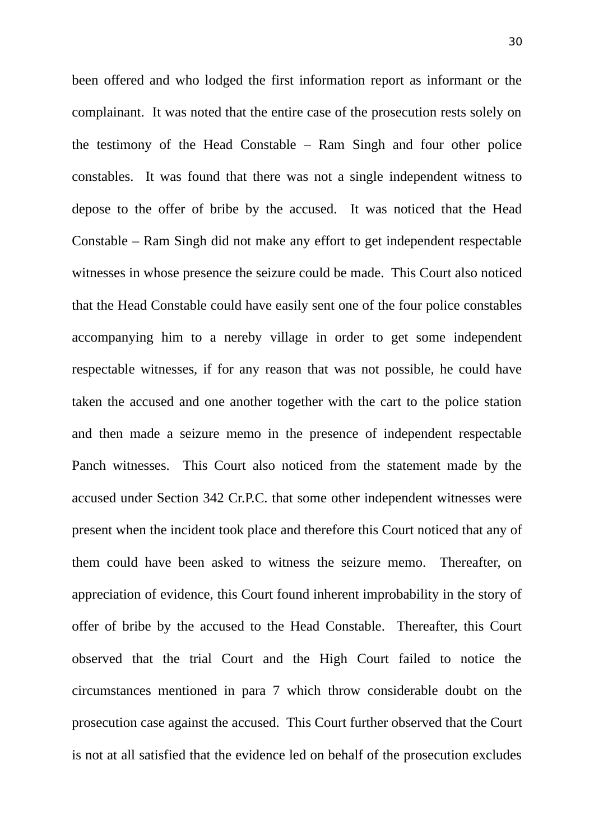been offered and who lodged the first information report as informant or the complainant. It was noted that the entire case of the prosecution rests solely on the testimony of the Head Constable – Ram Singh and four other police constables. It was found that there was not a single independent witness to depose to the offer of bribe by the accused. It was noticed that the Head Constable – Ram Singh did not make any effort to get independent respectable witnesses in whose presence the seizure could be made. This Court also noticed that the Head Constable could have easily sent one of the four police constables accompanying him to a nereby village in order to get some independent respectable witnesses, if for any reason that was not possible, he could have taken the accused and one another together with the cart to the police station and then made a seizure memo in the presence of independent respectable Panch witnesses. This Court also noticed from the statement made by the accused under Section 342 Cr.P.C. that some other independent witnesses were present when the incident took place and therefore this Court noticed that any of them could have been asked to witness the seizure memo. Thereafter, on appreciation of evidence, this Court found inherent improbability in the story of offer of bribe by the accused to the Head Constable. Thereafter, this Court observed that the trial Court and the High Court failed to notice the circumstances mentioned in para 7 which throw considerable doubt on the prosecution case against the accused. This Court further observed that the Court is not at all satisfied that the evidence led on behalf of the prosecution excludes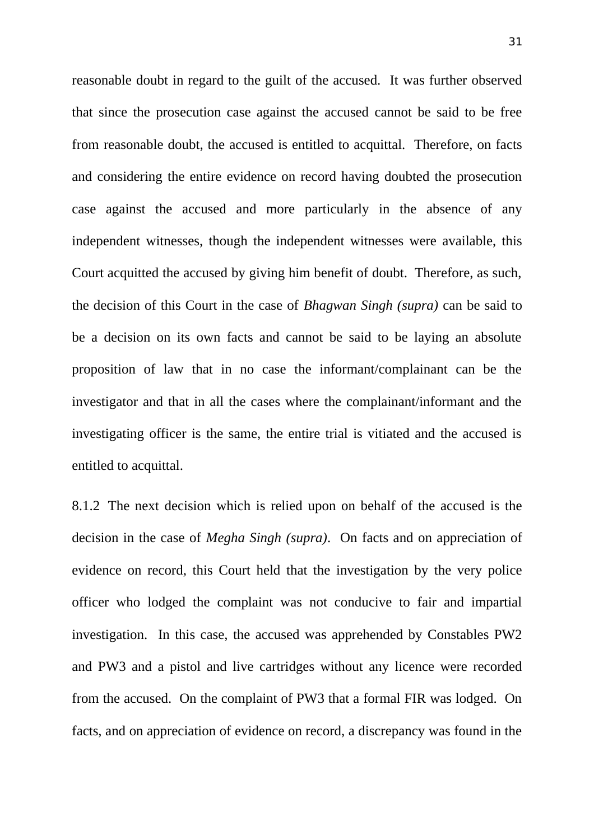reasonable doubt in regard to the guilt of the accused. It was further observed that since the prosecution case against the accused cannot be said to be free from reasonable doubt, the accused is entitled to acquittal. Therefore, on facts and considering the entire evidence on record having doubted the prosecution case against the accused and more particularly in the absence of any independent witnesses, though the independent witnesses were available, this Court acquitted the accused by giving him benefit of doubt. Therefore, as such, the decision of this Court in the case of *Bhagwan Singh (supra)* can be said to be a decision on its own facts and cannot be said to be laying an absolute proposition of law that in no case the informant/complainant can be the investigator and that in all the cases where the complainant/informant and the investigating officer is the same, the entire trial is vitiated and the accused is entitled to acquittal.

8.1.2 The next decision which is relied upon on behalf of the accused is the decision in the case of *Megha Singh (supra)*. On facts and on appreciation of evidence on record, this Court held that the investigation by the very police officer who lodged the complaint was not conducive to fair and impartial investigation. In this case, the accused was apprehended by Constables PW2 and PW3 and a pistol and live cartridges without any licence were recorded from the accused. On the complaint of PW3 that a formal FIR was lodged. On facts, and on appreciation of evidence on record, a discrepancy was found in the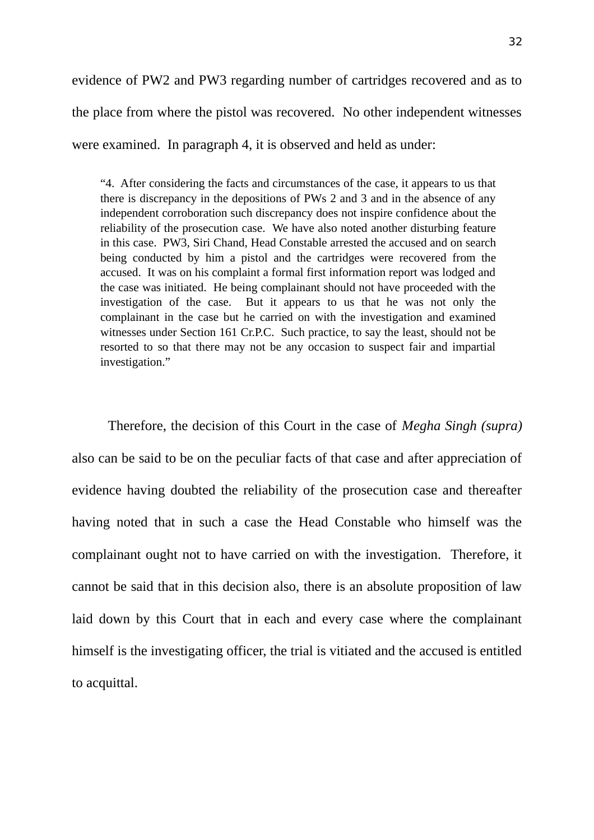evidence of PW2 and PW3 regarding number of cartridges recovered and as to the place from where the pistol was recovered. No other independent witnesses were examined. In paragraph 4, it is observed and held as under:

"4. After considering the facts and circumstances of the case, it appears to us that there is discrepancy in the depositions of PWs 2 and 3 and in the absence of any independent corroboration such discrepancy does not inspire confidence about the reliability of the prosecution case. We have also noted another disturbing feature in this case. PW3, Siri Chand, Head Constable arrested the accused and on search being conducted by him a pistol and the cartridges were recovered from the accused. It was on his complaint a formal first information report was lodged and the case was initiated. He being complainant should not have proceeded with the investigation of the case. But it appears to us that he was not only the complainant in the case but he carried on with the investigation and examined witnesses under Section 161 Cr.P.C. Such practice, to say the least, should not be resorted to so that there may not be any occasion to suspect fair and impartial investigation."

Therefore, the decision of this Court in the case of *Megha Singh (supra)* also can be said to be on the peculiar facts of that case and after appreciation of evidence having doubted the reliability of the prosecution case and thereafter having noted that in such a case the Head Constable who himself was the complainant ought not to have carried on with the investigation. Therefore, it cannot be said that in this decision also, there is an absolute proposition of law laid down by this Court that in each and every case where the complainant himself is the investigating officer, the trial is vitiated and the accused is entitled to acquittal.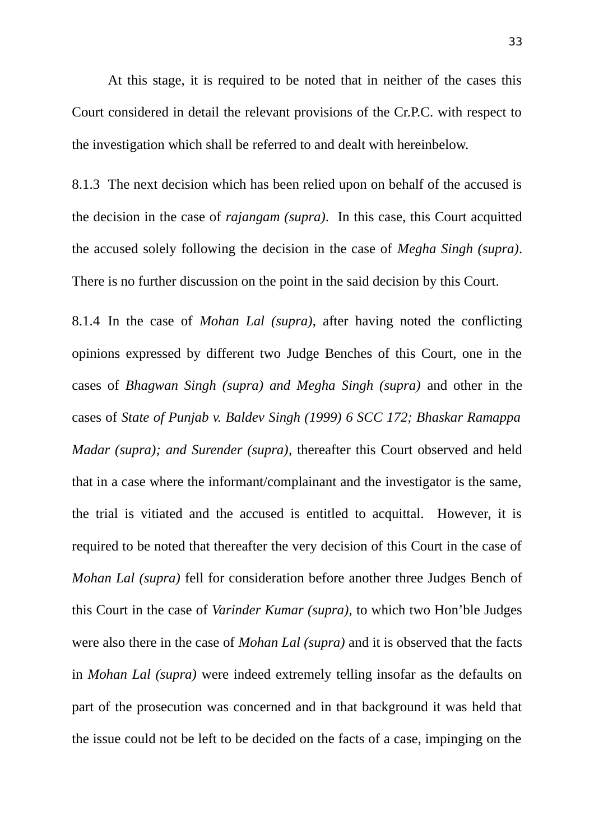At this stage, it is required to be noted that in neither of the cases this Court considered in detail the relevant provisions of the Cr.P.C. with respect to the investigation which shall be referred to and dealt with hereinbelow.

8.1.3 The next decision which has been relied upon on behalf of the accused is the decision in the case of *rajangam (supra)*. In this case, this Court acquitted the accused solely following the decision in the case of *Megha Singh (supra)*. There is no further discussion on the point in the said decision by this Court.

8.1.4 In the case of *Mohan Lal (supra)*, after having noted the conflicting opinions expressed by different two Judge Benches of this Court, one in the cases of *Bhagwan Singh (supra) and Megha Singh (supra)* and other in the cases of *State of Punjab v. Baldev Singh (1999) 6 SCC 172; Bhaskar Ramappa Madar (supra); and Surender (supra)*, thereafter this Court observed and held that in a case where the informant/complainant and the investigator is the same, the trial is vitiated and the accused is entitled to acquittal. However, it is required to be noted that thereafter the very decision of this Court in the case of *Mohan Lal (supra)* fell for consideration before another three Judges Bench of this Court in the case of *Varinder Kumar (supra)*, to which two Hon'ble Judges were also there in the case of *Mohan Lal (supra)* and it is observed that the facts in *Mohan Lal (supra)* were indeed extremely telling insofar as the defaults on part of the prosecution was concerned and in that background it was held that the issue could not be left to be decided on the facts of a case, impinging on the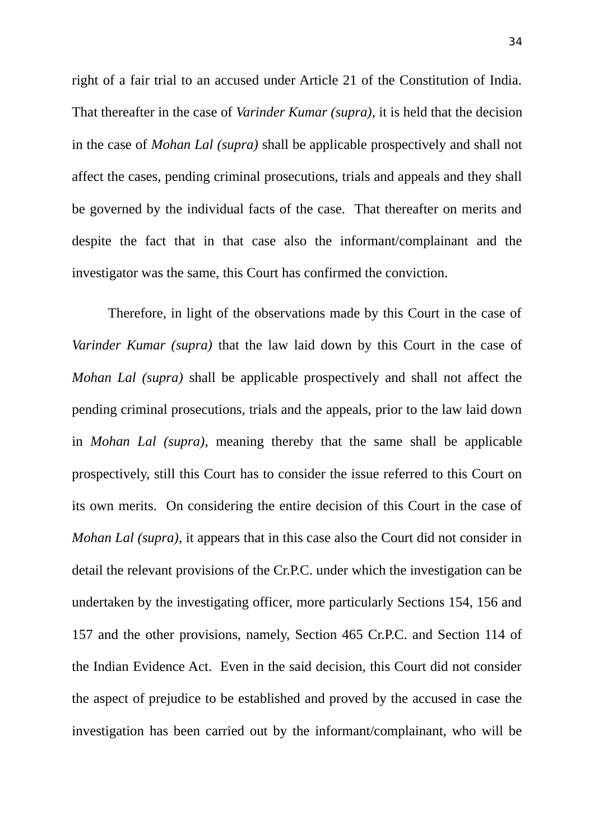right of a fair trial to an accused under Article 21 of the Constitution of India. That thereafter in the case of *Varinder Kumar (supra)*, it is held that the decision in the case of *Mohan Lal (supra)* shall be applicable prospectively and shall not affect the cases, pending criminal prosecutions, trials and appeals and they shall be governed by the individual facts of the case. That thereafter on merits and despite the fact that in that case also the informant/complainant and the investigator was the same, this Court has confirmed the conviction.

Therefore, in light of the observations made by this Court in the case of *Varinder Kumar (supra)* that the law laid down by this Court in the case of *Mohan Lal (supra)* shall be applicable prospectively and shall not affect the pending criminal prosecutions, trials and the appeals, prior to the law laid down in *Mohan Lal (supra)*, meaning thereby that the same shall be applicable prospectively, still this Court has to consider the issue referred to this Court on its own merits. On considering the entire decision of this Court in the case of *Mohan Lal (supra)*, it appears that in this case also the Court did not consider in detail the relevant provisions of the Cr.P.C. under which the investigation can be undertaken by the investigating officer, more particularly Sections 154, 156 and 157 and the other provisions, namely, Section 465 Cr.P.C. and Section 114 of the Indian Evidence Act. Even in the said decision, this Court did not consider the aspect of prejudice to be established and proved by the accused in case the investigation has been carried out by the informant/complainant, who will be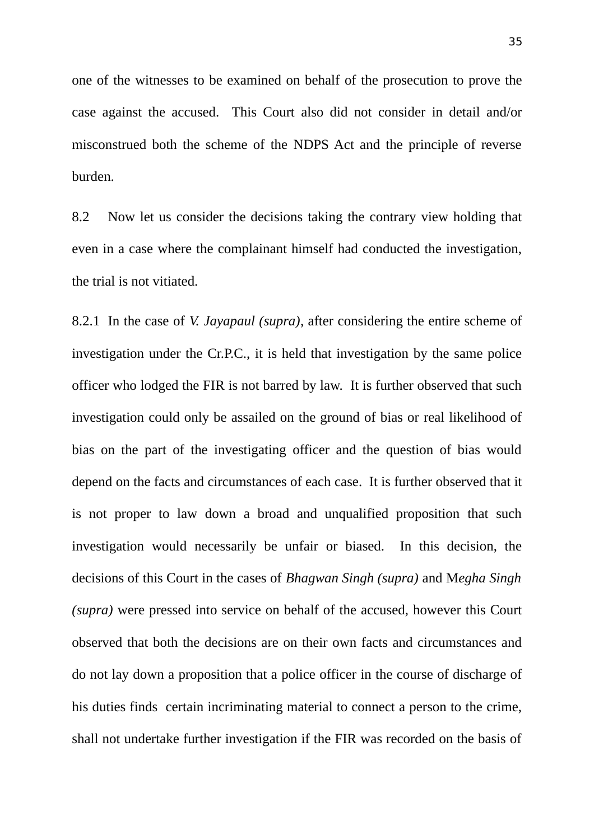one of the witnesses to be examined on behalf of the prosecution to prove the case against the accused. This Court also did not consider in detail and/or misconstrued both the scheme of the NDPS Act and the principle of reverse burden.

8.2 Now let us consider the decisions taking the contrary view holding that even in a case where the complainant himself had conducted the investigation, the trial is not vitiated.

8.2.1 In the case of *V. Jayapaul (supra)*, after considering the entire scheme of investigation under the Cr.P.C., it is held that investigation by the same police officer who lodged the FIR is not barred by law. It is further observed that such investigation could only be assailed on the ground of bias or real likelihood of bias on the part of the investigating officer and the question of bias would depend on the facts and circumstances of each case. It is further observed that it is not proper to law down a broad and unqualified proposition that such investigation would necessarily be unfair or biased. In this decision, the decisions of this Court in the cases of *Bhagwan Singh (supra)* and M*egha Singh (supra)* were pressed into service on behalf of the accused, however this Court observed that both the decisions are on their own facts and circumstances and do not lay down a proposition that a police officer in the course of discharge of his duties finds certain incriminating material to connect a person to the crime, shall not undertake further investigation if the FIR was recorded on the basis of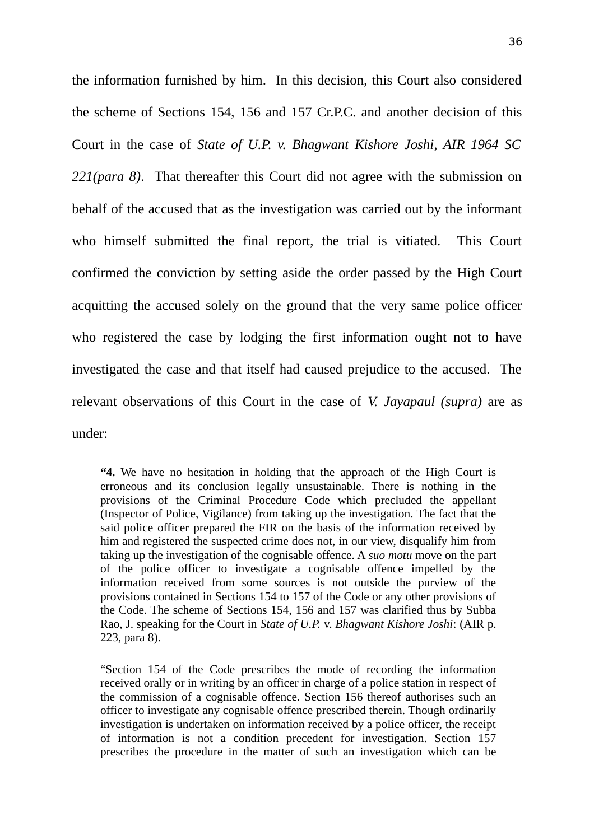the information furnished by him. In this decision, this Court also considered the scheme of Sections 154, 156 and 157 Cr.P.C. and another decision of this Court in the case of *State of U.P. v. Bhagwant Kishore Joshi, AIR 1964 SC 221(para 8)*. That thereafter this Court did not agree with the submission on behalf of the accused that as the investigation was carried out by the informant who himself submitted the final report, the trial is vitiated. This Court confirmed the conviction by setting aside the order passed by the High Court acquitting the accused solely on the ground that the very same police officer who registered the case by lodging the first information ought not to have investigated the case and that itself had caused prejudice to the accused. The relevant observations of this Court in the case of *V. Jayapaul (supra)* are as under:

**"4.** We have no hesitation in holding that the approach of the High Court is erroneous and its conclusion legally unsustainable. There is nothing in the provisions of the Criminal Procedure Code which precluded the appellant (Inspector of Police, Vigilance) from taking up the investigation. The fact that the said police officer prepared the FIR on the basis of the information received by him and registered the suspected crime does not, in our view, disqualify him from taking up the investigation of the cognisable offence. A *suo motu* move on the part of the police officer to investigate a cognisable offence impelled by the information received from some sources is not outside the purview of the provisions contained in Sections 154 to 157 of the Code or any other provisions of the Code. The scheme of Sections 154, 156 and 157 was clarified thus by Subba Rao, J. speaking for the Court in *State of U.P.* v. *Bhagwant Kishore Joshi*: (AIR p. 223, para 8).

"Section 154 of the Code prescribes the mode of recording the information received orally or in writing by an officer in charge of a police station in respect of the commission of a cognisable offence. Section 156 thereof authorises such an officer to investigate any cognisable offence prescribed therein. Though ordinarily investigation is undertaken on information received by a police officer, the receipt of information is not a condition precedent for investigation. Section 157 prescribes the procedure in the matter of such an investigation which can be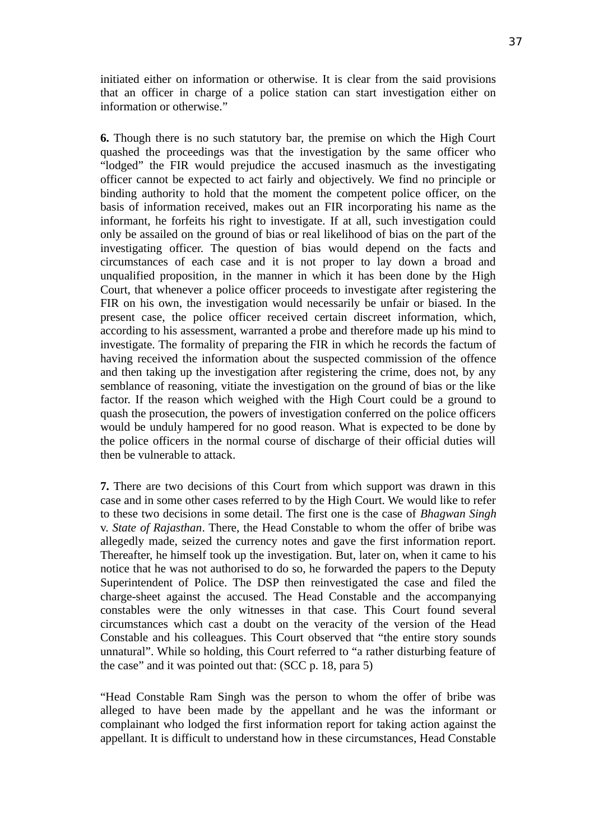initiated either on information or otherwise. It is clear from the said provisions that an officer in charge of a police station can start investigation either on information or otherwise."

**6.** Though there is no such statutory bar, the premise on which the High Court quashed the proceedings was that the investigation by the same officer who "lodged" the FIR would prejudice the accused inasmuch as the investigating officer cannot be expected to act fairly and objectively. We find no principle or binding authority to hold that the moment the competent police officer, on the basis of information received, makes out an FIR incorporating his name as the informant, he forfeits his right to investigate. If at all, such investigation could only be assailed on the ground of bias or real likelihood of bias on the part of the investigating officer. The question of bias would depend on the facts and circumstances of each case and it is not proper to lay down a broad and unqualified proposition, in the manner in which it has been done by the High Court, that whenever a police officer proceeds to investigate after registering the FIR on his own, the investigation would necessarily be unfair or biased. In the present case, the police officer received certain discreet information, which, according to his assessment, warranted a probe and therefore made up his mind to investigate. The formality of preparing the FIR in which he records the factum of having received the information about the suspected commission of the offence and then taking up the investigation after registering the crime, does not, by any semblance of reasoning, vitiate the investigation on the ground of bias or the like factor. If the reason which weighed with the High Court could be a ground to quash the prosecution, the powers of investigation conferred on the police officers would be unduly hampered for no good reason. What is expected to be done by the police officers in the normal course of discharge of their official duties will then be vulnerable to attack.

**7.** There are two decisions of this Court from which support was drawn in this case and in some other cases referred to by the High Court. We would like to refer to these two decisions in some detail. The first one is the case of *Bhagwan Singh* v. *State of Rajasthan*. There, the Head Constable to whom the offer of bribe was allegedly made, seized the currency notes and gave the first information report. Thereafter, he himself took up the investigation. But, later on, when it came to his notice that he was not authorised to do so, he forwarded the papers to the Deputy Superintendent of Police. The DSP then reinvestigated the case and filed the charge-sheet against the accused. The Head Constable and the accompanying constables were the only witnesses in that case. This Court found several circumstances which cast a doubt on the veracity of the version of the Head Constable and his colleagues. This Court observed that "the entire story sounds unnatural". While so holding, this Court referred to "a rather disturbing feature of the case" and it was pointed out that: (SCC p. 18, para 5)

"Head Constable Ram Singh was the person to whom the offer of bribe was alleged to have been made by the appellant and he was the informant or complainant who lodged the first information report for taking action against the appellant. It is difficult to understand how in these circumstances, Head Constable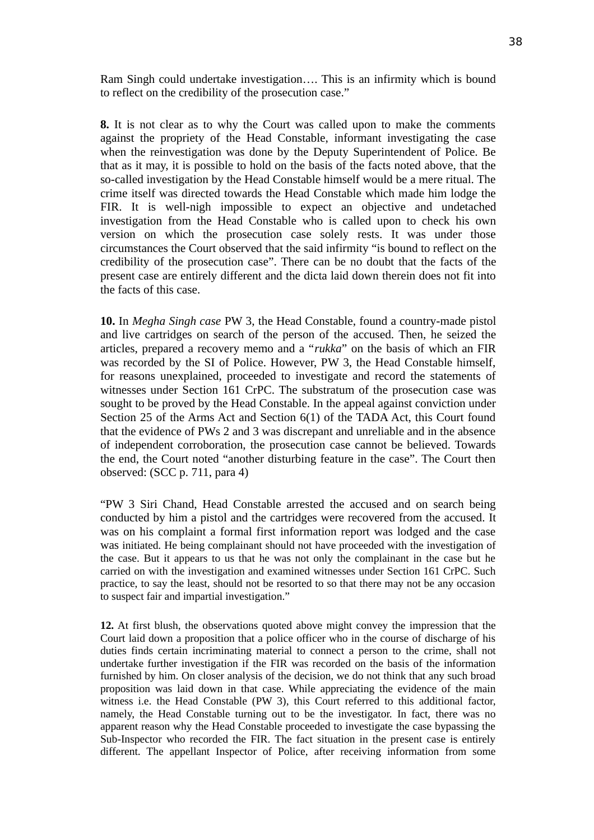Ram Singh could undertake investigation…. This is an infirmity which is bound to reflect on the credibility of the prosecution case."

**8.** It is not clear as to why the Court was called upon to make the comments against the propriety of the Head Constable, informant investigating the case when the reinvestigation was done by the Deputy Superintendent of Police. Be that as it may, it is possible to hold on the basis of the facts noted above, that the so-called investigation by the Head Constable himself would be a mere ritual. The crime itself was directed towards the Head Constable which made him lodge the FIR. It is well-nigh impossible to expect an objective and undetached investigation from the Head Constable who is called upon to check his own version on which the prosecution case solely rests. It was under those circumstances the Court observed that the said infirmity "is bound to reflect on the credibility of the prosecution case". There can be no doubt that the facts of the present case are entirely different and the dicta laid down therein does not fit into the facts of this case.

**10.** In *Megha Singh case* PW 3, the Head Constable, found a country-made pistol and live cartridges on search of the person of the accused. Then, he seized the articles, prepared a recovery memo and a "*rukka*" on the basis of which an FIR was recorded by the SI of Police. However, PW 3, the Head Constable himself, for reasons unexplained, proceeded to investigate and record the statements of witnesses under Section 161 CrPC. The substratum of the prosecution case was sought to be proved by the Head Constable. In the appeal against conviction under Section 25 of the Arms Act and Section 6(1) of the TADA Act, this Court found that the evidence of PWs 2 and 3 was discrepant and unreliable and in the absence of independent corroboration, the prosecution case cannot be believed. Towards the end, the Court noted "another disturbing feature in the case". The Court then observed: (SCC p. 711, para 4)

"PW 3 Siri Chand, Head Constable arrested the accused and on search being conducted by him a pistol and the cartridges were recovered from the accused. It was on his complaint a formal first information report was lodged and the case was initiated. He being complainant should not have proceeded with the investigation of the case. But it appears to us that he was not only the complainant in the case but he carried on with the investigation and examined witnesses under Section 161 CrPC. Such practice, to say the least, should not be resorted to so that there may not be any occasion to suspect fair and impartial investigation."

**12.** At first blush, the observations quoted above might convey the impression that the Court laid down a proposition that a police officer who in the course of discharge of his duties finds certain incriminating material to connect a person to the crime, shall not undertake further investigation if the FIR was recorded on the basis of the information furnished by him. On closer analysis of the decision, we do not think that any such broad proposition was laid down in that case. While appreciating the evidence of the main witness i.e. the Head Constable (PW 3), this Court referred to this additional factor, namely, the Head Constable turning out to be the investigator. In fact, there was no apparent reason why the Head Constable proceeded to investigate the case bypassing the Sub-Inspector who recorded the FIR. The fact situation in the present case is entirely different. The appellant Inspector of Police, after receiving information from some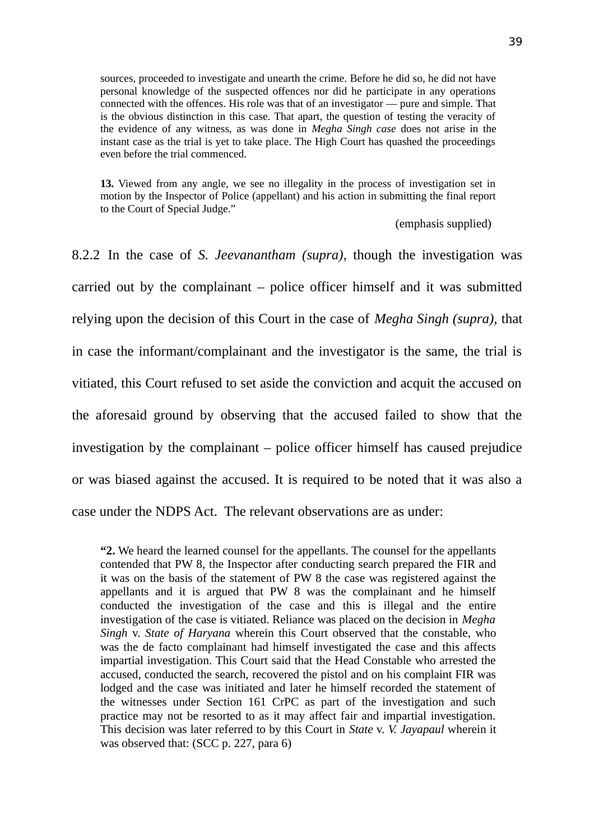sources, proceeded to investigate and unearth the crime. Before he did so, he did not have personal knowledge of the suspected offences nor did he participate in any operations connected with the offences. His role was that of an investigator — pure and simple. That is the obvious distinction in this case. That apart, the question of testing the veracity of the evidence of any witness, as was done in *Megha Singh case* does not arise in the instant case as the trial is yet to take place. The High Court has quashed the proceedings even before the trial commenced.

**13.** Viewed from any angle, we see no illegality in the process of investigation set in motion by the Inspector of Police (appellant) and his action in submitting the final report to the Court of Special Judge."

(emphasis supplied)

8.2.2 In the case of *S. Jeevanantham (supra)*, though the investigation was carried out by the complainant – police officer himself and it was submitted relying upon the decision of this Court in the case of *Megha Singh (supra),* that in case the informant/complainant and the investigator is the same, the trial is vitiated, this Court refused to set aside the conviction and acquit the accused on the aforesaid ground by observing that the accused failed to show that the investigation by the complainant – police officer himself has caused prejudice or was biased against the accused. It is required to be noted that it was also a case under the NDPS Act. The relevant observations are as under:

**"2.** We heard the learned counsel for the appellants. The counsel for the appellants contended that PW 8, the Inspector after conducting search prepared the FIR and it was on the basis of the statement of PW 8 the case was registered against the appellants and it is argued that PW 8 was the complainant and he himself conducted the investigation of the case and this is illegal and the entire investigation of the case is vitiated. Reliance was placed on the decision in *Megha Singh* v. *State of Haryana* wherein this Court observed that the constable, who was the de facto complainant had himself investigated the case and this affects impartial investigation. This Court said that the Head Constable who arrested the accused, conducted the search, recovered the pistol and on his complaint FIR was lodged and the case was initiated and later he himself recorded the statement of the witnesses under Section 161 CrPC as part of the investigation and such practice may not be resorted to as it may affect fair and impartial investigation. This decision was later referred to by this Court in *State* v. *V. Jayapaul* wherein it was observed that: (SCC p. 227, para 6)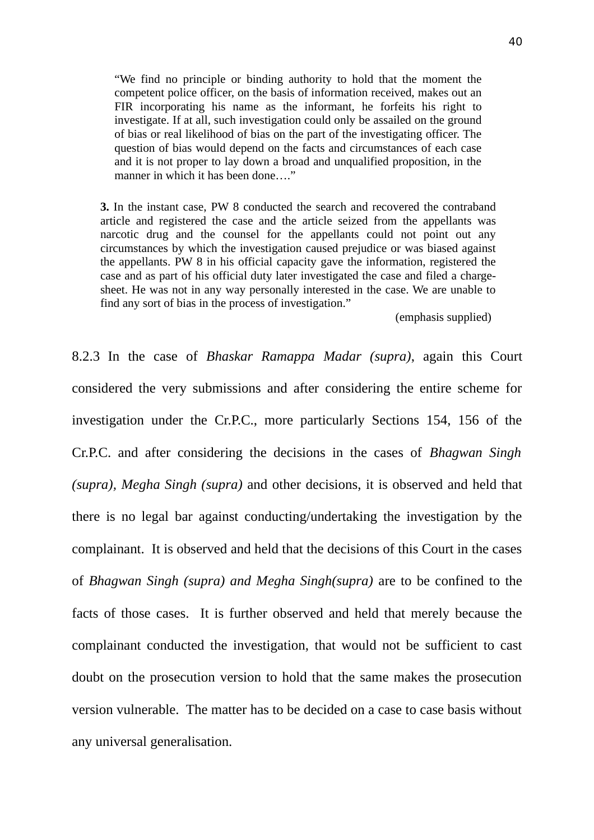"We find no principle or binding authority to hold that the moment the competent police officer, on the basis of information received, makes out an FIR incorporating his name as the informant, he forfeits his right to investigate. If at all, such investigation could only be assailed on the ground of bias or real likelihood of bias on the part of the investigating officer. The question of bias would depend on the facts and circumstances of each case and it is not proper to lay down a broad and unqualified proposition, in the manner in which it has been done…."

**3.** In the instant case, PW 8 conducted the search and recovered the contraband article and registered the case and the article seized from the appellants was narcotic drug and the counsel for the appellants could not point out any circumstances by which the investigation caused prejudice or was biased against the appellants. PW 8 in his official capacity gave the information, registered the case and as part of his official duty later investigated the case and filed a chargesheet. He was not in any way personally interested in the case. We are unable to find any sort of bias in the process of investigation."

(emphasis supplied)

8.2.3 In the case of *Bhaskar Ramappa Madar (supra)*, again this Court considered the very submissions and after considering the entire scheme for investigation under the Cr.P.C., more particularly Sections 154, 156 of the Cr.P.C. and after considering the decisions in the cases of *Bhagwan Singh (supra), Megha Singh (supra)* and other decisions, it is observed and held that there is no legal bar against conducting/undertaking the investigation by the complainant. It is observed and held that the decisions of this Court in the cases of *Bhagwan Singh (supra) and Megha Singh(supra)* are to be confined to the facts of those cases. It is further observed and held that merely because the complainant conducted the investigation, that would not be sufficient to cast doubt on the prosecution version to hold that the same makes the prosecution version vulnerable. The matter has to be decided on a case to case basis without any universal generalisation.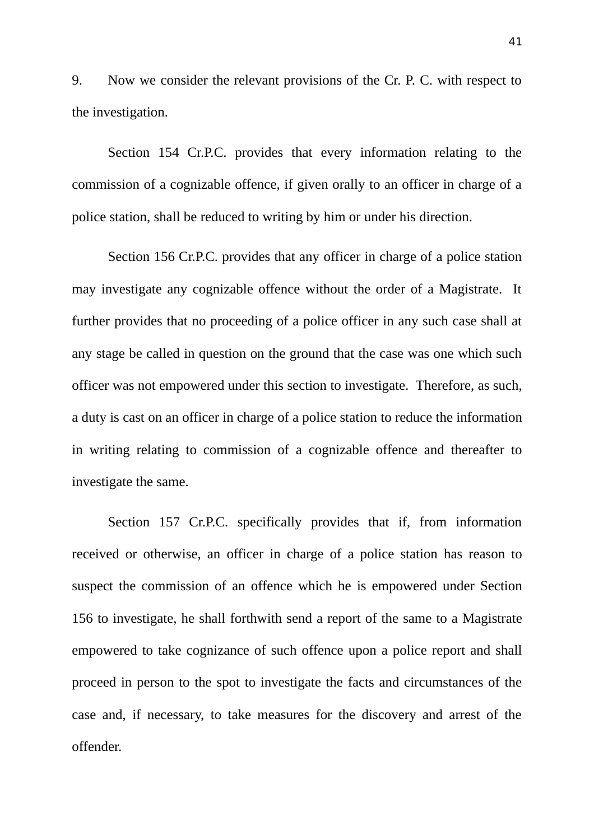9. Now we consider the relevant provisions of the Cr. P. C. with respect to the investigation.

Section 154 Cr.P.C. provides that every information relating to the commission of a cognizable offence, if given orally to an officer in charge of a police station, shall be reduced to writing by him or under his direction.

Section 156 Cr.P.C. provides that any officer in charge of a police station may investigate any cognizable offence without the order of a Magistrate. It further provides that no proceeding of a police officer in any such case shall at any stage be called in question on the ground that the case was one which such officer was not empowered under this section to investigate. Therefore, as such, a duty is cast on an officer in charge of a police station to reduce the information in writing relating to commission of a cognizable offence and thereafter to investigate the same.

Section 157 Cr.P.C. specifically provides that if, from information received or otherwise, an officer in charge of a police station has reason to suspect the commission of an offence which he is empowered under Section 156 to investigate, he shall forthwith send a report of the same to a Magistrate empowered to take cognizance of such offence upon a police report and shall proceed in person to the spot to investigate the facts and circumstances of the case and, if necessary, to take measures for the discovery and arrest of the offender.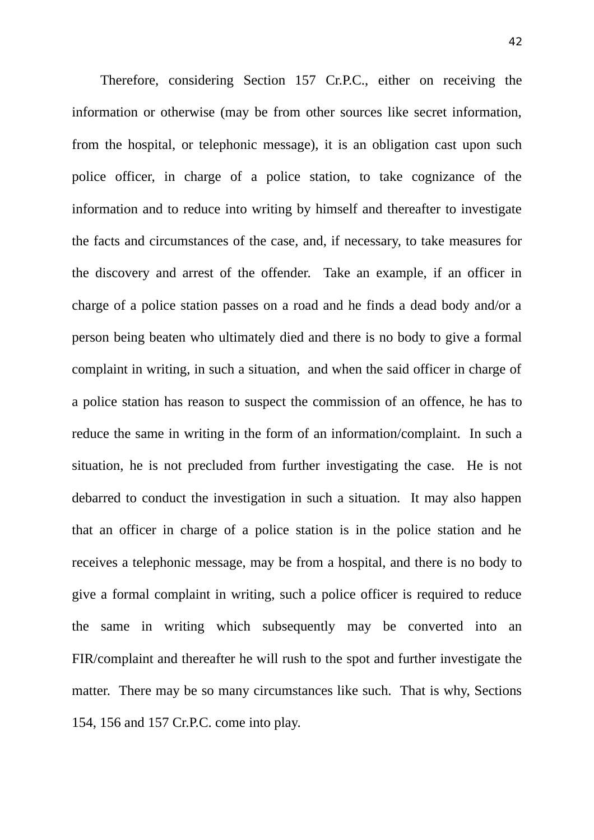Therefore, considering Section 157 Cr.P.C., either on receiving the information or otherwise (may be from other sources like secret information, from the hospital, or telephonic message), it is an obligation cast upon such police officer, in charge of a police station, to take cognizance of the information and to reduce into writing by himself and thereafter to investigate the facts and circumstances of the case, and, if necessary, to take measures for the discovery and arrest of the offender. Take an example, if an officer in charge of a police station passes on a road and he finds a dead body and/or a person being beaten who ultimately died and there is no body to give a formal complaint in writing, in such a situation, and when the said officer in charge of a police station has reason to suspect the commission of an offence, he has to reduce the same in writing in the form of an information/complaint. In such a situation, he is not precluded from further investigating the case. He is not debarred to conduct the investigation in such a situation. It may also happen that an officer in charge of a police station is in the police station and he receives a telephonic message, may be from a hospital, and there is no body to give a formal complaint in writing, such a police officer is required to reduce the same in writing which subsequently may be converted into an FIR/complaint and thereafter he will rush to the spot and further investigate the matter. There may be so many circumstances like such. That is why, Sections 154, 156 and 157 Cr.P.C. come into play.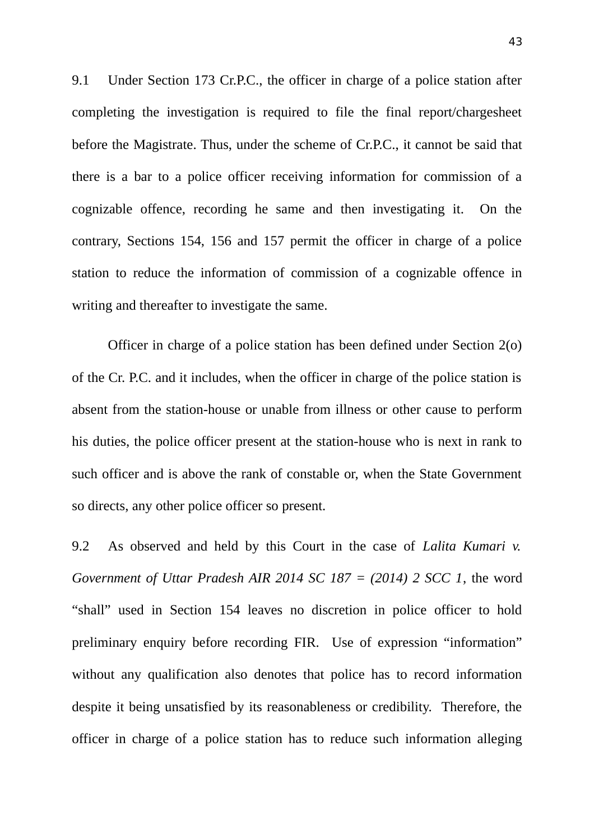9.1 Under Section 173 Cr.P.C., the officer in charge of a police station after completing the investigation is required to file the final report/chargesheet before the Magistrate. Thus, under the scheme of Cr.P.C., it cannot be said that there is a bar to a police officer receiving information for commission of a cognizable offence, recording he same and then investigating it. On the contrary, Sections 154, 156 and 157 permit the officer in charge of a police station to reduce the information of commission of a cognizable offence in writing and thereafter to investigate the same.

Officer in charge of a police station has been defined under Section 2(o) of the Cr. P.C. and it includes, when the officer in charge of the police station is absent from the station-house or unable from illness or other cause to perform his duties, the police officer present at the station-house who is next in rank to such officer and is above the rank of constable or, when the State Government so directs, any other police officer so present.

9.2 As observed and held by this Court in the case of *Lalita Kumari v. Government of Uttar Pradesh AIR 2014 SC 187 = (2014) 2 SCC 1*, the word "shall" used in Section 154 leaves no discretion in police officer to hold preliminary enquiry before recording FIR. Use of expression "information" without any qualification also denotes that police has to record information despite it being unsatisfied by its reasonableness or credibility. Therefore, the officer in charge of a police station has to reduce such information alleging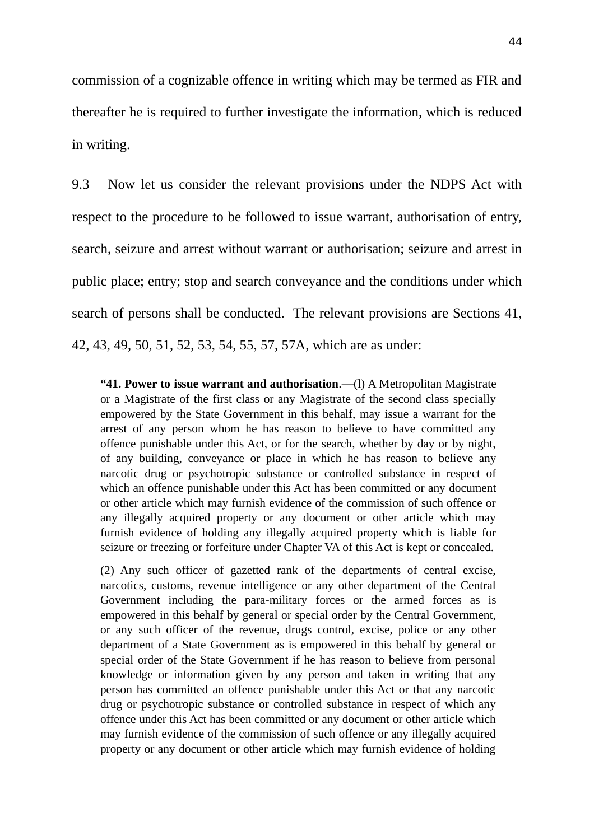commission of a cognizable offence in writing which may be termed as FIR and thereafter he is required to further investigate the information, which is reduced in writing.

9.3 Now let us consider the relevant provisions under the NDPS Act with respect to the procedure to be followed to issue warrant, authorisation of entry, search, seizure and arrest without warrant or authorisation; seizure and arrest in public place; entry; stop and search conveyance and the conditions under which search of persons shall be conducted. The relevant provisions are Sections 41, 42, 43, 49, 50, 51, 52, 53, 54, 55, 57, 57A, which are as under:

**"41. Power to issue warrant and authorisation**.—(l) A Metropolitan Magistrate or a Magistrate of the first class or any Magistrate of the second class specially empowered by the State Government in this behalf, may issue a warrant for the arrest of any person whom he has reason to believe to have committed any offence punishable under this Act, or for the search, whether by day or by night, of any building, conveyance or place in which he has reason to believe any narcotic drug or psychotropic substance or controlled substance in respect of which an offence punishable under this Act has been committed or any document or other article which may furnish evidence of the commission of such offence or any illegally acquired property or any document or other article which may furnish evidence of holding any illegally acquired property which is liable for seizure or freezing or forfeiture under Chapter VA of this Act is kept or concealed.

(2) Any such officer of gazetted rank of the departments of central excise, narcotics, customs, revenue intelligence or any other department of the Central Government including the para-military forces or the armed forces as is empowered in this behalf by general or special order by the Central Government, or any such officer of the revenue, drugs control, excise, police or any other department of a State Government as is empowered in this behalf by general or special order of the State Government if he has reason to believe from personal knowledge or information given by any person and taken in writing that any person has committed an offence punishable under this Act or that any narcotic drug or psychotropic substance or controlled substance in respect of which any offence under this Act has been committed or any document or other article which may furnish evidence of the commission of such offence or any illegally acquired property or any document or other article which may furnish evidence of holding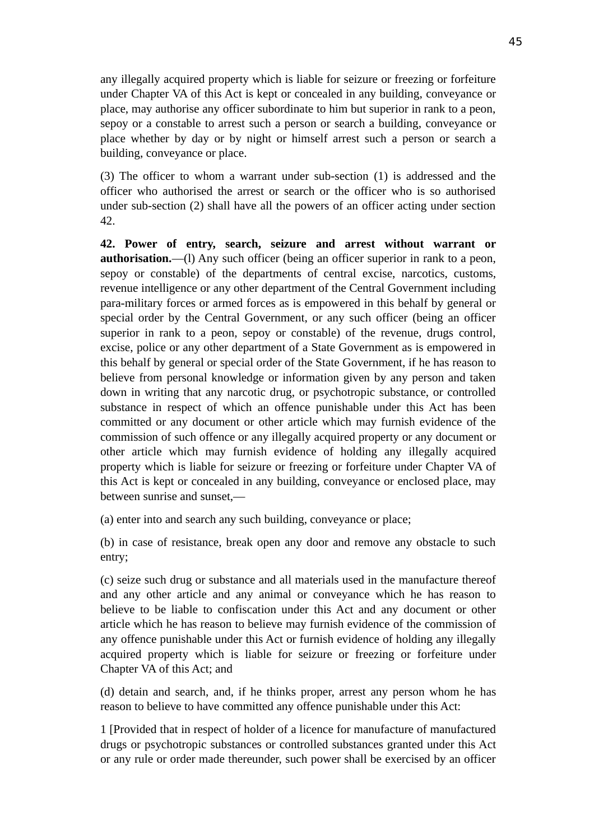any illegally acquired property which is liable for seizure or freezing or forfeiture under Chapter VA of this Act is kept or concealed in any building, conveyance or place, may authorise any officer subordinate to him but superior in rank to a peon, sepoy or a constable to arrest such a person or search a building, conveyance or place whether by day or by night or himself arrest such a person or search a building, conveyance or place.

(3) The officer to whom a warrant under sub-section (1) is addressed and the officer who authorised the arrest or search or the officer who is so authorised under sub-section (2) shall have all the powers of an officer acting under section 42.

**42. Power of entry, search, seizure and arrest without warrant or authorisation.**—(l) Any such officer (being an officer superior in rank to a peon, sepoy or constable) of the departments of central excise, narcotics, customs, revenue intelligence or any other department of the Central Government including para-military forces or armed forces as is empowered in this behalf by general or special order by the Central Government, or any such officer (being an officer superior in rank to a peon, sepoy or constable) of the revenue, drugs control, excise, police or any other department of a State Government as is empowered in this behalf by general or special order of the State Government, if he has reason to believe from personal knowledge or information given by any person and taken down in writing that any narcotic drug, or psychotropic substance, or controlled substance in respect of which an offence punishable under this Act has been committed or any document or other article which may furnish evidence of the commission of such offence or any illegally acquired property or any document or other article which may furnish evidence of holding any illegally acquired property which is liable for seizure or freezing or forfeiture under Chapter VA of this Act is kept or concealed in any building, conveyance or enclosed place, may between sunrise and sunset,—

(a) enter into and search any such building, conveyance or place;

(b) in case of resistance, break open any door and remove any obstacle to such entry;

(c) seize such drug or substance and all materials used in the manufacture thereof and any other article and any animal or conveyance which he has reason to believe to be liable to confiscation under this Act and any document or other article which he has reason to believe may furnish evidence of the commission of any offence punishable under this Act or furnish evidence of holding any illegally acquired property which is liable for seizure or freezing or forfeiture under Chapter VA of this Act; and

(d) detain and search, and, if he thinks proper, arrest any person whom he has reason to believe to have committed any offence punishable under this Act:

1 [Provided that in respect of holder of a licence for manufacture of manufactured drugs or psychotropic substances or controlled substances granted under this Act or any rule or order made thereunder, such power shall be exercised by an officer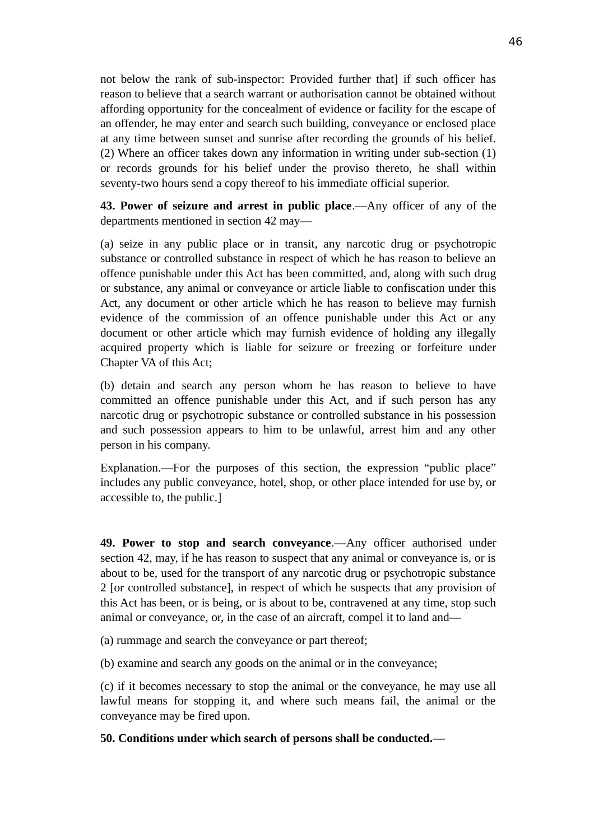not below the rank of sub-inspector: Provided further that] if such officer has reason to believe that a search warrant or authorisation cannot be obtained without affording opportunity for the concealment of evidence or facility for the escape of an offender, he may enter and search such building, conveyance or enclosed place at any time between sunset and sunrise after recording the grounds of his belief. (2) Where an officer takes down any information in writing under sub-section (1) or records grounds for his belief under the proviso thereto, he shall within seventy-two hours send a copy thereof to his immediate official superior.

**43. Power of seizure and arrest in public place**.—Any officer of any of the departments mentioned in section 42 may—

(a) seize in any public place or in transit, any narcotic drug or psychotropic substance or controlled substance in respect of which he has reason to believe an offence punishable under this Act has been committed, and, along with such drug or substance, any animal or conveyance or article liable to confiscation under this Act, any document or other article which he has reason to believe may furnish evidence of the commission of an offence punishable under this Act or any document or other article which may furnish evidence of holding any illegally acquired property which is liable for seizure or freezing or forfeiture under Chapter VA of this Act;

(b) detain and search any person whom he has reason to believe to have committed an offence punishable under this Act, and if such person has any narcotic drug or psychotropic substance or controlled substance in his possession and such possession appears to him to be unlawful, arrest him and any other person in his company.

Explanation.—For the purposes of this section, the expression "public place" includes any public conveyance, hotel, shop, or other place intended for use by, or accessible to, the public.]

**49. Power to stop and search conveyance**.—Any officer authorised under section 42, may, if he has reason to suspect that any animal or conveyance is, or is about to be, used for the transport of any narcotic drug or psychotropic substance 2 [or controlled substance], in respect of which he suspects that any provision of this Act has been, or is being, or is about to be, contravened at any time, stop such animal or conveyance, or, in the case of an aircraft, compel it to land and—

(a) rummage and search the conveyance or part thereof;

(b) examine and search any goods on the animal or in the conveyance;

(c) if it becomes necessary to stop the animal or the conveyance, he may use all lawful means for stopping it, and where such means fail, the animal or the conveyance may be fired upon.

**50. Conditions under which search of persons shall be conducted.**—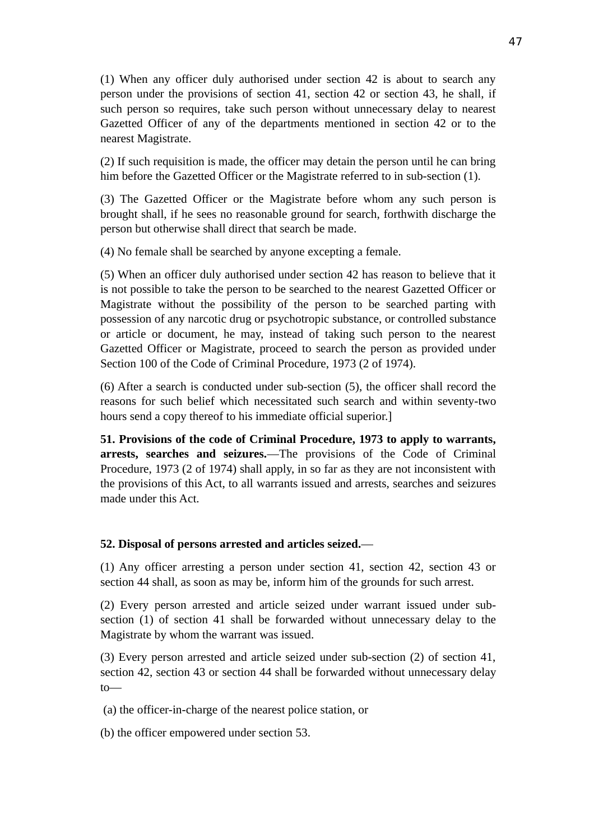(1) When any officer duly authorised under section 42 is about to search any person under the provisions of section 41, section 42 or section 43, he shall, if such person so requires, take such person without unnecessary delay to nearest Gazetted Officer of any of the departments mentioned in section 42 or to the nearest Magistrate.

(2) If such requisition is made, the officer may detain the person until he can bring him before the Gazetted Officer or the Magistrate referred to in sub-section (1).

(3) The Gazetted Officer or the Magistrate before whom any such person is brought shall, if he sees no reasonable ground for search, forthwith discharge the person but otherwise shall direct that search be made.

(4) No female shall be searched by anyone excepting a female.

(5) When an officer duly authorised under section 42 has reason to believe that it is not possible to take the person to be searched to the nearest Gazetted Officer or Magistrate without the possibility of the person to be searched parting with possession of any narcotic drug or psychotropic substance, or controlled substance or article or document, he may, instead of taking such person to the nearest Gazetted Officer or Magistrate, proceed to search the person as provided under Section 100 of the Code of Criminal Procedure, 1973 (2 of 1974).

(6) After a search is conducted under sub-section (5), the officer shall record the reasons for such belief which necessitated such search and within seventy-two hours send a copy thereof to his immediate official superior.]

**51. Provisions of the code of Criminal Procedure, 1973 to apply to warrants, arrests, searches and seizures.**—The provisions of the Code of Criminal Procedure, 1973 (2 of 1974) shall apply, in so far as they are not inconsistent with the provisions of this Act, to all warrants issued and arrests, searches and seizures made under this Act.

### **52. Disposal of persons arrested and articles seized.**—

(1) Any officer arresting a person under section 41, section 42, section 43 or section 44 shall, as soon as may be, inform him of the grounds for such arrest.

(2) Every person arrested and article seized under warrant issued under subsection (1) of section 41 shall be forwarded without unnecessary delay to the Magistrate by whom the warrant was issued.

(3) Every person arrested and article seized under sub-section (2) of section 41, section 42, section 43 or section 44 shall be forwarded without unnecessary delay to—

(a) the officer-in-charge of the nearest police station, or

(b) the officer empowered under section 53.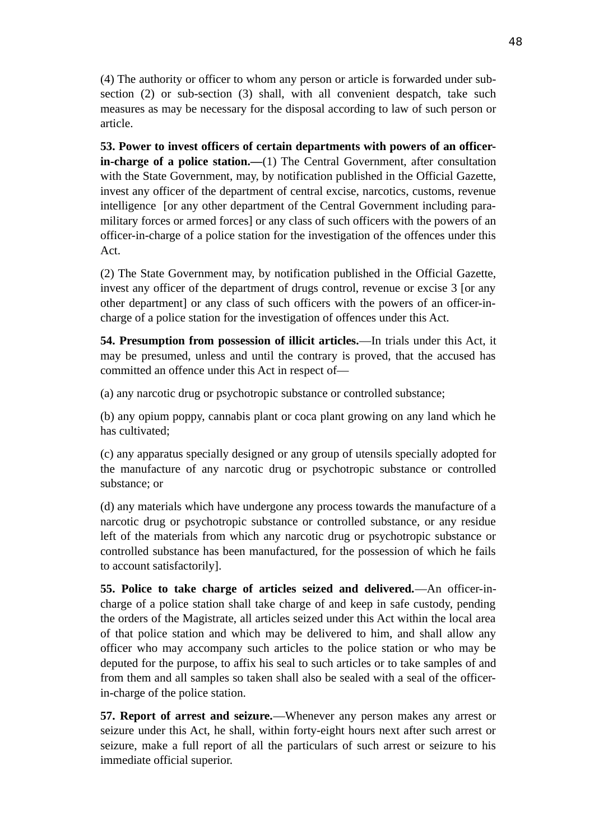(4) The authority or officer to whom any person or article is forwarded under subsection (2) or sub-section (3) shall, with all convenient despatch, take such measures as may be necessary for the disposal according to law of such person or article.

**53. Power to invest officers of certain departments with powers of an officerin-charge of a police station.—**(1) The Central Government, after consultation with the State Government, may, by notification published in the Official Gazette, invest any officer of the department of central excise, narcotics, customs, revenue intelligence [or any other department of the Central Government including paramilitary forces or armed forces] or any class of such officers with the powers of an officer-in-charge of a police station for the investigation of the offences under this Act.

(2) The State Government may, by notification published in the Official Gazette, invest any officer of the department of drugs control, revenue or excise 3 [or any other department] or any class of such officers with the powers of an officer-incharge of a police station for the investigation of offences under this Act.

**54. Presumption from possession of illicit articles.**—In trials under this Act, it may be presumed, unless and until the contrary is proved, that the accused has committed an offence under this Act in respect of—

(a) any narcotic drug or psychotropic substance or controlled substance;

(b) any opium poppy, cannabis plant or coca plant growing on any land which he has cultivated:

(c) any apparatus specially designed or any group of utensils specially adopted for the manufacture of any narcotic drug or psychotropic substance or controlled substance; or

(d) any materials which have undergone any process towards the manufacture of a narcotic drug or psychotropic substance or controlled substance, or any residue left of the materials from which any narcotic drug or psychotropic substance or controlled substance has been manufactured, for the possession of which he fails to account satisfactorily].

**55. Police to take charge of articles seized and delivered.**—An officer-incharge of a police station shall take charge of and keep in safe custody, pending the orders of the Magistrate, all articles seized under this Act within the local area of that police station and which may be delivered to him, and shall allow any officer who may accompany such articles to the police station or who may be deputed for the purpose, to affix his seal to such articles or to take samples of and from them and all samples so taken shall also be sealed with a seal of the officerin-charge of the police station.

**57. Report of arrest and seizure.**—Whenever any person makes any arrest or seizure under this Act, he shall, within forty-eight hours next after such arrest or seizure, make a full report of all the particulars of such arrest or seizure to his immediate official superior.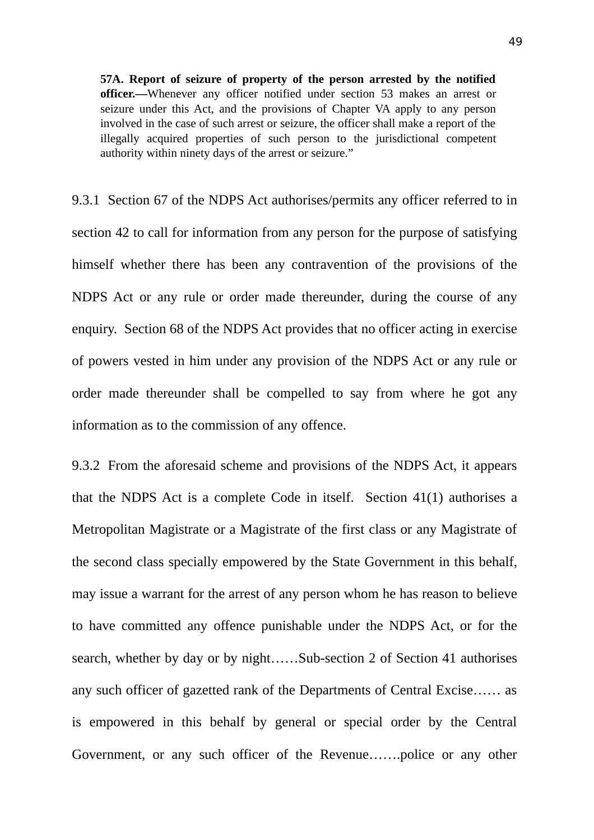**57A. Report of seizure of property of the person arrested by the notified officer.—**Whenever any officer notified under section 53 makes an arrest or seizure under this Act, and the provisions of Chapter VA apply to any person involved in the case of such arrest or seizure, the officer shall make a report of the illegally acquired properties of such person to the jurisdictional competent authority within ninety days of the arrest or seizure."

9.3.1 Section 67 of the NDPS Act authorises/permits any officer referred to in section 42 to call for information from any person for the purpose of satisfying himself whether there has been any contravention of the provisions of the NDPS Act or any rule or order made thereunder, during the course of any enquiry. Section 68 of the NDPS Act provides that no officer acting in exercise of powers vested in him under any provision of the NDPS Act or any rule or order made thereunder shall be compelled to say from where he got any information as to the commission of any offence.

9.3.2 From the aforesaid scheme and provisions of the NDPS Act, it appears that the NDPS Act is a complete Code in itself. Section 41(1) authorises a Metropolitan Magistrate or a Magistrate of the first class or any Magistrate of the second class specially empowered by the State Government in this behalf, may issue a warrant for the arrest of any person whom he has reason to believe to have committed any offence punishable under the NDPS Act, or for the search, whether by day or by night……Sub-section 2 of Section 41 authorises any such officer of gazetted rank of the Departments of Central Excise…… as is empowered in this behalf by general or special order by the Central Government, or any such officer of the Revenue…….police or any other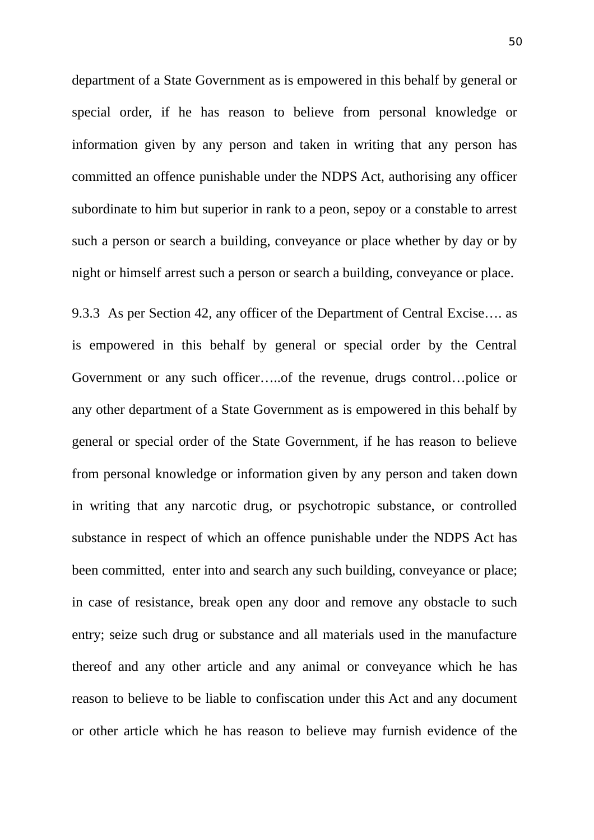department of a State Government as is empowered in this behalf by general or special order, if he has reason to believe from personal knowledge or information given by any person and taken in writing that any person has committed an offence punishable under the NDPS Act, authorising any officer subordinate to him but superior in rank to a peon, sepoy or a constable to arrest such a person or search a building, conveyance or place whether by day or by night or himself arrest such a person or search a building, conveyance or place.

9.3.3 As per Section 42, any officer of the Department of Central Excise…. as is empowered in this behalf by general or special order by the Central Government or any such officer…..of the revenue, drugs control…police or any other department of a State Government as is empowered in this behalf by general or special order of the State Government, if he has reason to believe from personal knowledge or information given by any person and taken down in writing that any narcotic drug, or psychotropic substance, or controlled substance in respect of which an offence punishable under the NDPS Act has been committed, enter into and search any such building, conveyance or place; in case of resistance, break open any door and remove any obstacle to such entry; seize such drug or substance and all materials used in the manufacture thereof and any other article and any animal or conveyance which he has reason to believe to be liable to confiscation under this Act and any document or other article which he has reason to believe may furnish evidence of the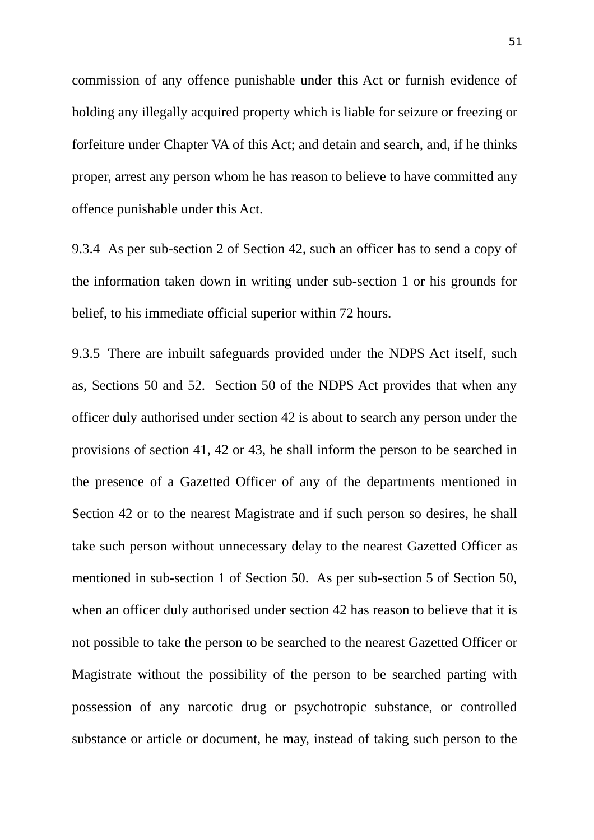commission of any offence punishable under this Act or furnish evidence of holding any illegally acquired property which is liable for seizure or freezing or forfeiture under Chapter VA of this Act; and detain and search, and, if he thinks proper, arrest any person whom he has reason to believe to have committed any offence punishable under this Act.

9.3.4 As per sub-section 2 of Section 42, such an officer has to send a copy of the information taken down in writing under sub-section 1 or his grounds for belief, to his immediate official superior within 72 hours.

9.3.5 There are inbuilt safeguards provided under the NDPS Act itself, such as, Sections 50 and 52. Section 50 of the NDPS Act provides that when any officer duly authorised under section 42 is about to search any person under the provisions of section 41, 42 or 43, he shall inform the person to be searched in the presence of a Gazetted Officer of any of the departments mentioned in Section 42 or to the nearest Magistrate and if such person so desires, he shall take such person without unnecessary delay to the nearest Gazetted Officer as mentioned in sub-section 1 of Section 50. As per sub-section 5 of Section 50, when an officer duly authorised under section 42 has reason to believe that it is not possible to take the person to be searched to the nearest Gazetted Officer or Magistrate without the possibility of the person to be searched parting with possession of any narcotic drug or psychotropic substance, or controlled substance or article or document, he may, instead of taking such person to the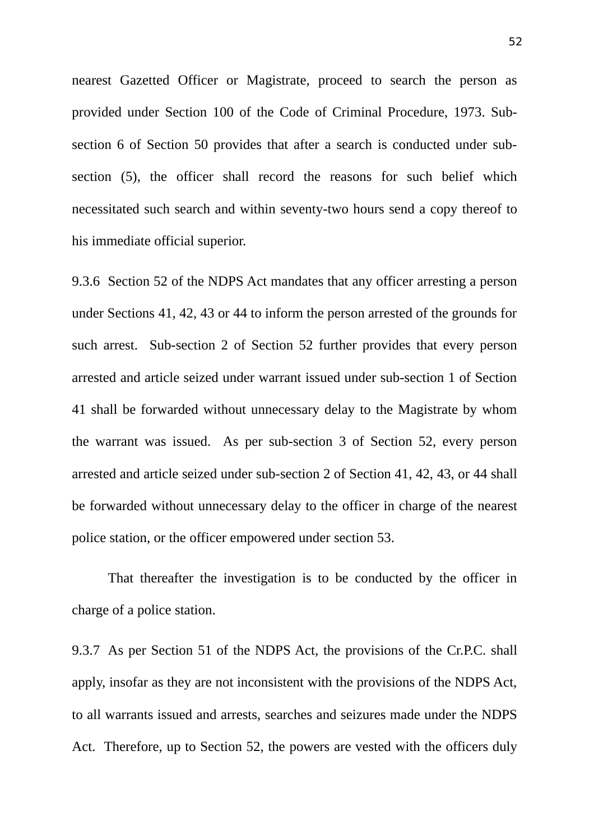nearest Gazetted Officer or Magistrate, proceed to search the person as provided under Section 100 of the Code of Criminal Procedure, 1973. Subsection 6 of Section 50 provides that after a search is conducted under subsection (5), the officer shall record the reasons for such belief which necessitated such search and within seventy-two hours send a copy thereof to his immediate official superior.

9.3.6 Section 52 of the NDPS Act mandates that any officer arresting a person under Sections 41, 42, 43 or 44 to inform the person arrested of the grounds for such arrest. Sub-section 2 of Section 52 further provides that every person arrested and article seized under warrant issued under sub-section 1 of Section 41 shall be forwarded without unnecessary delay to the Magistrate by whom the warrant was issued. As per sub-section 3 of Section 52, every person arrested and article seized under sub-section 2 of Section 41, 42, 43, or 44 shall be forwarded without unnecessary delay to the officer in charge of the nearest police station, or the officer empowered under section 53.

That thereafter the investigation is to be conducted by the officer in charge of a police station.

9.3.7 As per Section 51 of the NDPS Act, the provisions of the Cr.P.C. shall apply, insofar as they are not inconsistent with the provisions of the NDPS Act, to all warrants issued and arrests, searches and seizures made under the NDPS Act. Therefore, up to Section 52, the powers are vested with the officers duly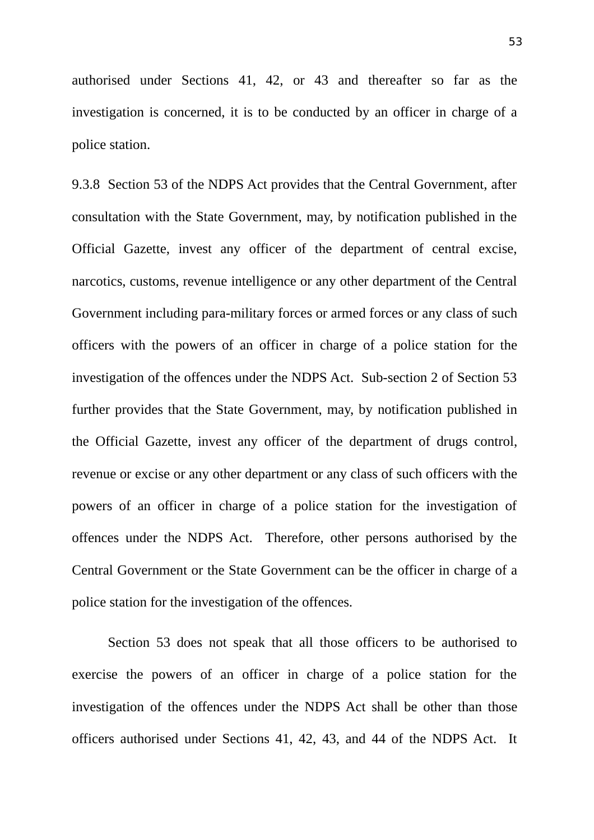authorised under Sections 41, 42, or 43 and thereafter so far as the investigation is concerned, it is to be conducted by an officer in charge of a police station.

9.3.8 Section 53 of the NDPS Act provides that the Central Government, after consultation with the State Government, may, by notification published in the Official Gazette, invest any officer of the department of central excise, narcotics, customs, revenue intelligence or any other department of the Central Government including para-military forces or armed forces or any class of such officers with the powers of an officer in charge of a police station for the investigation of the offences under the NDPS Act. Sub-section 2 of Section 53 further provides that the State Government, may, by notification published in the Official Gazette, invest any officer of the department of drugs control, revenue or excise or any other department or any class of such officers with the powers of an officer in charge of a police station for the investigation of offences under the NDPS Act. Therefore, other persons authorised by the Central Government or the State Government can be the officer in charge of a police station for the investigation of the offences.

Section 53 does not speak that all those officers to be authorised to exercise the powers of an officer in charge of a police station for the investigation of the offences under the NDPS Act shall be other than those officers authorised under Sections 41, 42, 43, and 44 of the NDPS Act. It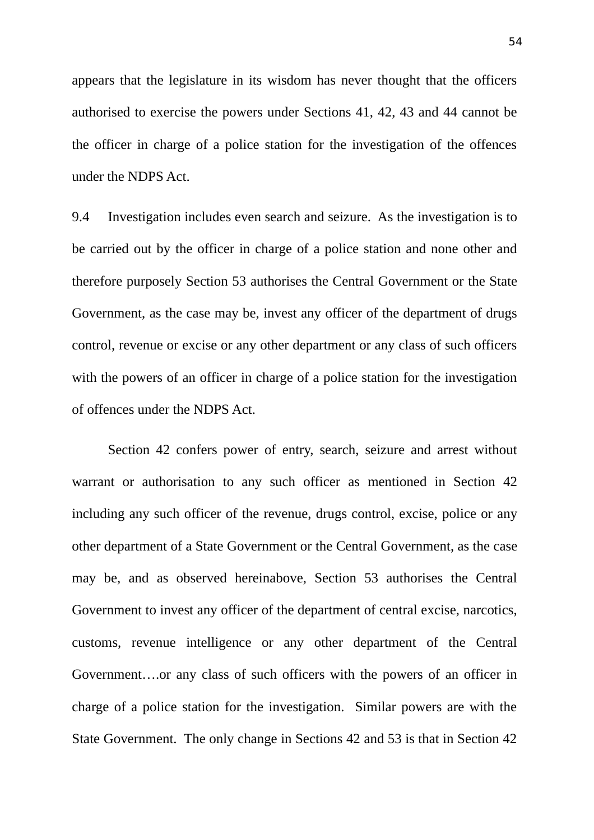appears that the legislature in its wisdom has never thought that the officers authorised to exercise the powers under Sections 41, 42, 43 and 44 cannot be the officer in charge of a police station for the investigation of the offences under the NDPS Act.

9.4 Investigation includes even search and seizure. As the investigation is to be carried out by the officer in charge of a police station and none other and therefore purposely Section 53 authorises the Central Government or the State Government, as the case may be, invest any officer of the department of drugs control, revenue or excise or any other department or any class of such officers with the powers of an officer in charge of a police station for the investigation of offences under the NDPS Act.

Section 42 confers power of entry, search, seizure and arrest without warrant or authorisation to any such officer as mentioned in Section 42 including any such officer of the revenue, drugs control, excise, police or any other department of a State Government or the Central Government, as the case may be, and as observed hereinabove, Section 53 authorises the Central Government to invest any officer of the department of central excise, narcotics, customs, revenue intelligence or any other department of the Central Government….or any class of such officers with the powers of an officer in charge of a police station for the investigation. Similar powers are with the State Government. The only change in Sections 42 and 53 is that in Section 42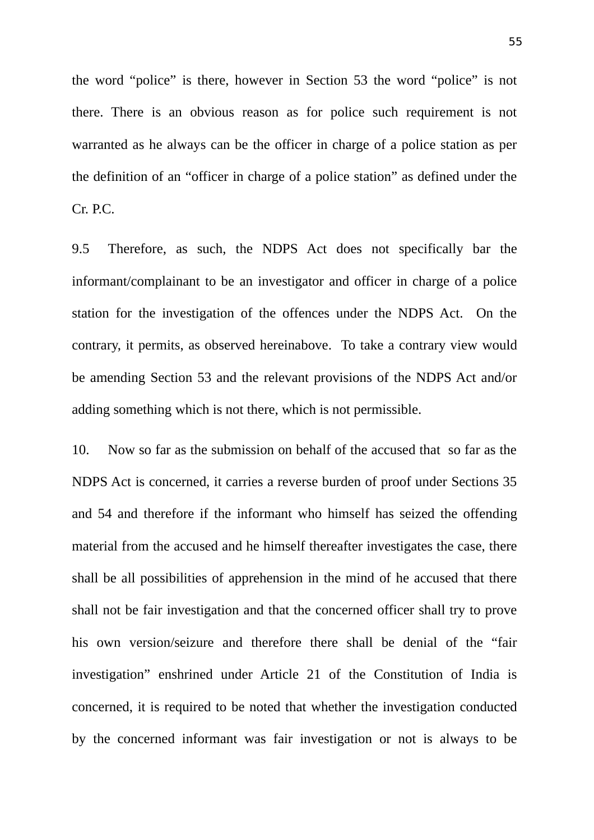the word "police" is there, however in Section 53 the word "police" is not there. There is an obvious reason as for police such requirement is not warranted as he always can be the officer in charge of a police station as per the definition of an "officer in charge of a police station" as defined under the Cr. P.C.

9.5 Therefore, as such, the NDPS Act does not specifically bar the informant/complainant to be an investigator and officer in charge of a police station for the investigation of the offences under the NDPS Act. On the contrary, it permits, as observed hereinabove. To take a contrary view would be amending Section 53 and the relevant provisions of the NDPS Act and/or adding something which is not there, which is not permissible.

10. Now so far as the submission on behalf of the accused that so far as the NDPS Act is concerned, it carries a reverse burden of proof under Sections 35 and 54 and therefore if the informant who himself has seized the offending material from the accused and he himself thereafter investigates the case, there shall be all possibilities of apprehension in the mind of he accused that there shall not be fair investigation and that the concerned officer shall try to prove his own version/seizure and therefore there shall be denial of the "fair investigation" enshrined under Article 21 of the Constitution of India is concerned, it is required to be noted that whether the investigation conducted by the concerned informant was fair investigation or not is always to be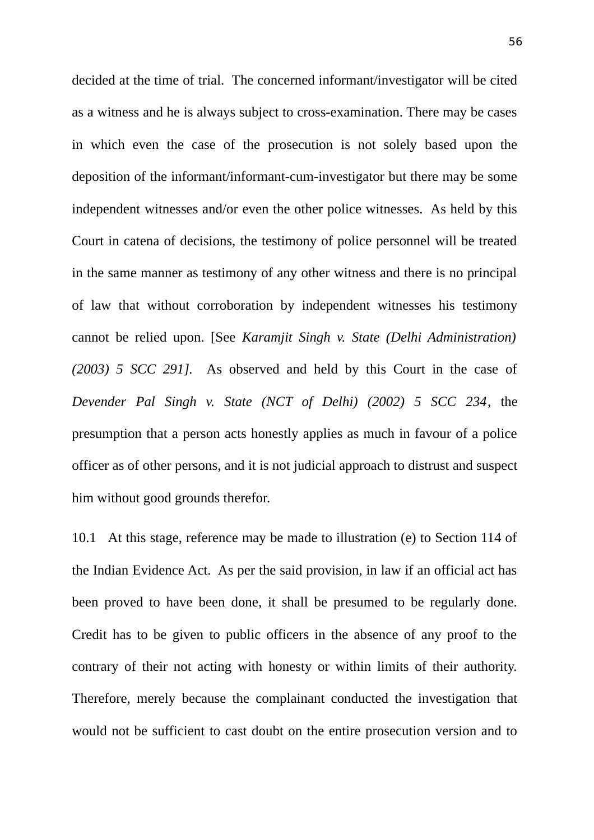decided at the time of trial. The concerned informant/investigator will be cited as a witness and he is always subject to cross-examination. There may be cases in which even the case of the prosecution is not solely based upon the deposition of the informant/informant-cum-investigator but there may be some independent witnesses and/or even the other police witnesses. As held by this Court in catena of decisions, the testimony of police personnel will be treated in the same manner as testimony of any other witness and there is no principal of law that without corroboration by independent witnesses his testimony cannot be relied upon. [See *Karamjit Singh v. State (Delhi Administration) (2003) 5 SCC 291].* As observed and held by this Court in the case of *Devender Pal Singh v. State (NCT of Delhi) (2002) 5 SCC 234*, the presumption that a person acts honestly applies as much in favour of a police officer as of other persons, and it is not judicial approach to distrust and suspect him without good grounds therefor.

10.1 At this stage, reference may be made to illustration (e) to Section 114 of the Indian Evidence Act. As per the said provision, in law if an official act has been proved to have been done, it shall be presumed to be regularly done. Credit has to be given to public officers in the absence of any proof to the contrary of their not acting with honesty or within limits of their authority. Therefore, merely because the complainant conducted the investigation that would not be sufficient to cast doubt on the entire prosecution version and to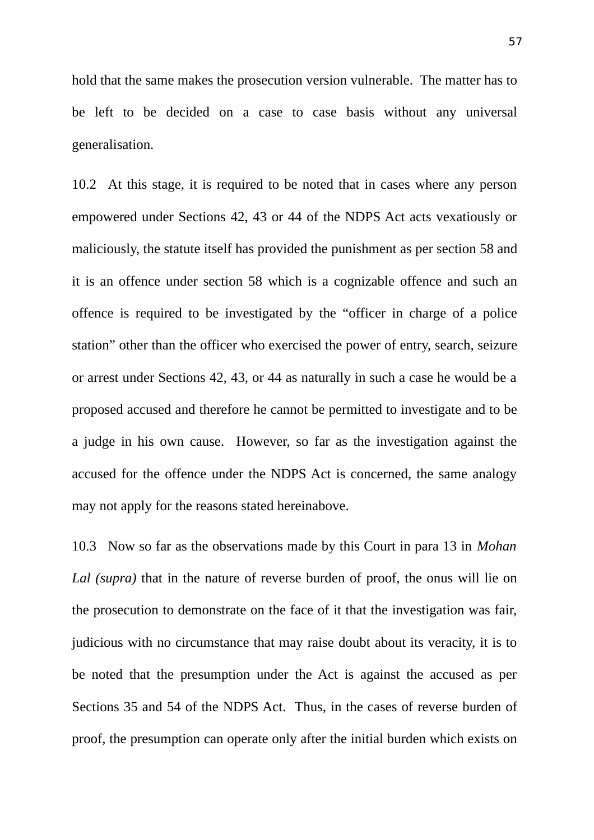hold that the same makes the prosecution version vulnerable. The matter has to be left to be decided on a case to case basis without any universal generalisation.

10.2 At this stage, it is required to be noted that in cases where any person empowered under Sections 42, 43 or 44 of the NDPS Act acts vexatiously or maliciously, the statute itself has provided the punishment as per section 58 and it is an offence under section 58 which is a cognizable offence and such an offence is required to be investigated by the "officer in charge of a police station" other than the officer who exercised the power of entry, search, seizure or arrest under Sections 42, 43, or 44 as naturally in such a case he would be a proposed accused and therefore he cannot be permitted to investigate and to be a judge in his own cause. However, so far as the investigation against the accused for the offence under the NDPS Act is concerned, the same analogy may not apply for the reasons stated hereinabove.

10.3 Now so far as the observations made by this Court in para 13 in *Mohan Lal (supra)* that in the nature of reverse burden of proof, the onus will lie on the prosecution to demonstrate on the face of it that the investigation was fair, judicious with no circumstance that may raise doubt about its veracity, it is to be noted that the presumption under the Act is against the accused as per Sections 35 and 54 of the NDPS Act. Thus, in the cases of reverse burden of proof, the presumption can operate only after the initial burden which exists on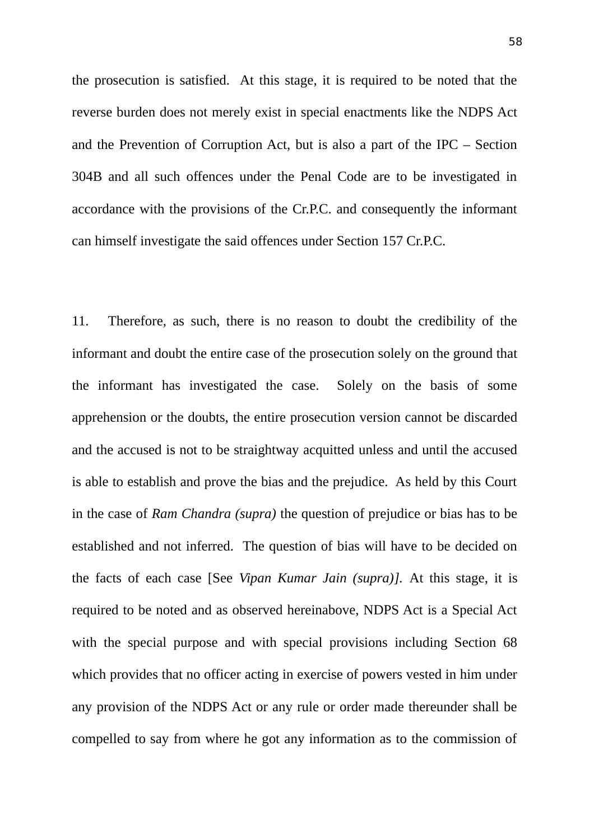the prosecution is satisfied. At this stage, it is required to be noted that the reverse burden does not merely exist in special enactments like the NDPS Act and the Prevention of Corruption Act, but is also a part of the IPC – Section 304B and all such offences under the Penal Code are to be investigated in accordance with the provisions of the Cr.P.C. and consequently the informant can himself investigate the said offences under Section 157 Cr.P.C.

11. Therefore, as such, there is no reason to doubt the credibility of the informant and doubt the entire case of the prosecution solely on the ground that the informant has investigated the case. Solely on the basis of some apprehension or the doubts, the entire prosecution version cannot be discarded and the accused is not to be straightway acquitted unless and until the accused is able to establish and prove the bias and the prejudice. As held by this Court in the case of *Ram Chandra (supra)* the question of prejudice or bias has to be established and not inferred. The question of bias will have to be decided on the facts of each case [See *Vipan Kumar Jain (supra)].* At this stage, it is required to be noted and as observed hereinabove, NDPS Act is a Special Act with the special purpose and with special provisions including Section 68 which provides that no officer acting in exercise of powers vested in him under any provision of the NDPS Act or any rule or order made thereunder shall be compelled to say from where he got any information as to the commission of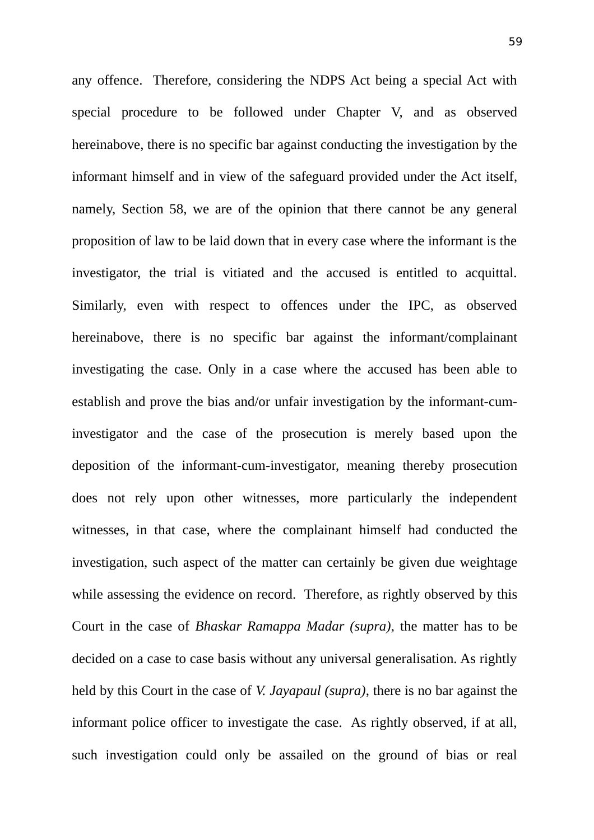any offence. Therefore, considering the NDPS Act being a special Act with special procedure to be followed under Chapter V, and as observed hereinabove, there is no specific bar against conducting the investigation by the informant himself and in view of the safeguard provided under the Act itself, namely, Section 58, we are of the opinion that there cannot be any general proposition of law to be laid down that in every case where the informant is the investigator, the trial is vitiated and the accused is entitled to acquittal. Similarly, even with respect to offences under the IPC, as observed hereinabove, there is no specific bar against the informant/complainant investigating the case. Only in a case where the accused has been able to establish and prove the bias and/or unfair investigation by the informant-cuminvestigator and the case of the prosecution is merely based upon the deposition of the informant-cum-investigator, meaning thereby prosecution does not rely upon other witnesses, more particularly the independent witnesses, in that case, where the complainant himself had conducted the investigation, such aspect of the matter can certainly be given due weightage while assessing the evidence on record. Therefore, as rightly observed by this Court in the case of *Bhaskar Ramappa Madar (supra)*, the matter has to be decided on a case to case basis without any universal generalisation. As rightly held by this Court in the case of *V. Jayapaul (supra)*, there is no bar against the informant police officer to investigate the case. As rightly observed, if at all, such investigation could only be assailed on the ground of bias or real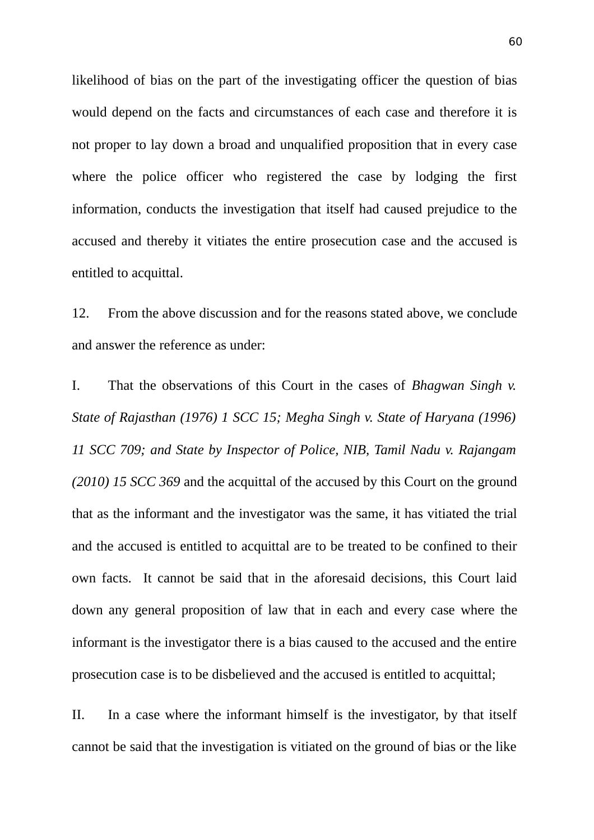likelihood of bias on the part of the investigating officer the question of bias would depend on the facts and circumstances of each case and therefore it is not proper to lay down a broad and unqualified proposition that in every case where the police officer who registered the case by lodging the first information, conducts the investigation that itself had caused prejudice to the accused and thereby it vitiates the entire prosecution case and the accused is entitled to acquittal.

12. From the above discussion and for the reasons stated above, we conclude and answer the reference as under:

I. That the observations of this Court in the cases of *Bhagwan Singh v. State of Rajasthan (1976) 1 SCC 15; Megha Singh v. State of Haryana (1996) 11 SCC 709; and State by Inspector of Police, NIB, Tamil Nadu v. Rajangam (2010) 15 SCC 369* and the acquittal of the accused by this Court on the ground that as the informant and the investigator was the same, it has vitiated the trial and the accused is entitled to acquittal are to be treated to be confined to their own facts. It cannot be said that in the aforesaid decisions, this Court laid down any general proposition of law that in each and every case where the informant is the investigator there is a bias caused to the accused and the entire prosecution case is to be disbelieved and the accused is entitled to acquittal;

II. In a case where the informant himself is the investigator, by that itself cannot be said that the investigation is vitiated on the ground of bias or the like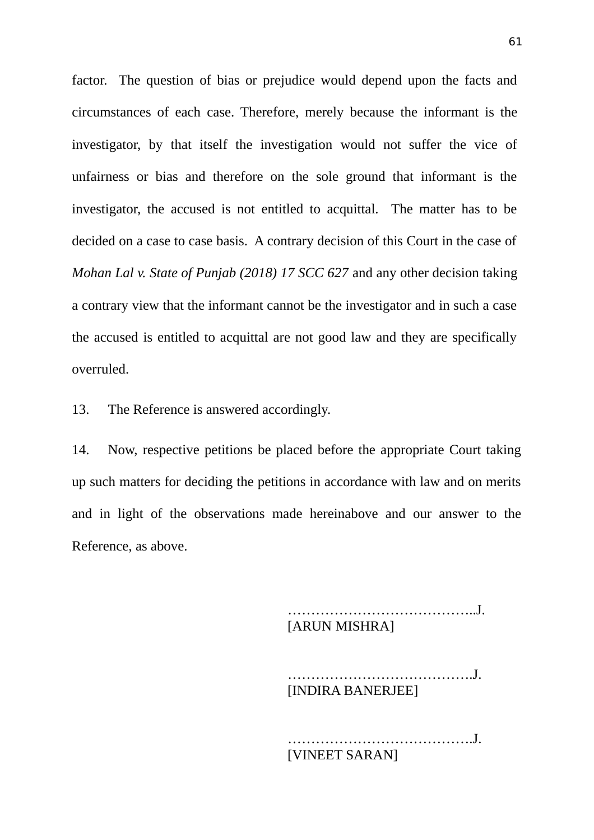factor. The question of bias or prejudice would depend upon the facts and circumstances of each case. Therefore, merely because the informant is the investigator, by that itself the investigation would not suffer the vice of unfairness or bias and therefore on the sole ground that informant is the investigator, the accused is not entitled to acquittal. The matter has to be decided on a case to case basis. A contrary decision of this Court in the case of *Mohan Lal v. State of Punjab (2018) 17 SCC 627* and any other decision taking a contrary view that the informant cannot be the investigator and in such a case the accused is entitled to acquittal are not good law and they are specifically overruled.

13. The Reference is answered accordingly.

14. Now, respective petitions be placed before the appropriate Court taking up such matters for deciding the petitions in accordance with law and on merits and in light of the observations made hereinabove and our answer to the Reference, as above.

> …………………………………..J. [ARUN MISHRA]

………………………………….J. [INDIRA BANERJEE]

………………………………….J. [VINEET SARAN]